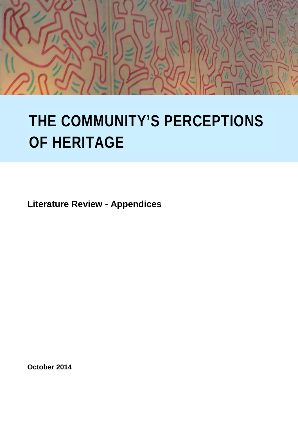

# **THE COMMUNITY'S PERCEPTIONS OF HERITAGE**

**Literature Review - Appendices**

**October 2014**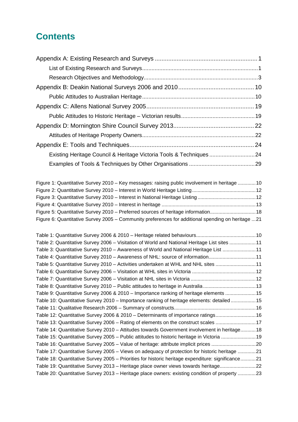# **Contents**

| Existing Heritage Council & Heritage Victoria Tools & Techniques  24                              |  |
|---------------------------------------------------------------------------------------------------|--|
|                                                                                                   |  |
|                                                                                                   |  |
| Figure 1: Quantitative Survey 2010 - Key messages: raising public involvement in heritage 10      |  |
|                                                                                                   |  |
|                                                                                                   |  |
|                                                                                                   |  |
| Figure 5: Quantitative Survey 2010 - Preferred sources of heritage information 18                 |  |
| Figure 6: Quantitative Survey 2005 - Community preferences for additional spending on heritage 21 |  |
|                                                                                                   |  |
|                                                                                                   |  |
| Table 2: Quantitative Survey 2006 - Visitation of World and National Heritage List sites 11       |  |
| Table 3: Quantitative Survey 2010 - Awareness of World and National Heritage List 11              |  |
| Table 4: Quantitative Survey 2010 - Awareness of NHL: source of information11                     |  |
| Table 5: Quantitative Survey 2010 - Activities undertaken at WHL and NHL sites  11                |  |
|                                                                                                   |  |
|                                                                                                   |  |
| Table 8: Quantitative Survey 2010 - Public attitudes to heritage in Australia 13                  |  |
| Table 9: Quantitative Survey 2006 & 2010 - Importance ranking of heritage elements 15             |  |
| Table 10: Quantitative Survey 2010 - Importance ranking of heritage elements: detailed15          |  |
|                                                                                                   |  |
| Table 12: Quantitative Survey 2006 & 2010 - Determinants of importance ratings 16                 |  |
| Table 13: Quantitative Survey 2006 - Rating of elements on the construct scales 17                |  |
| Table 14: Quantitative Survey 2010 - Attitudes towards Government involvement in heritage 18      |  |
| Table 15: Quantitative Survey 2005 - Public attitudes to historic heritage in Victoria 19         |  |
| Table 16: Quantitative Survey 2005 - Value of heritage: attribute implicit prices 20              |  |
| Table 17: Quantitative Survey 2005 - Views on adequacy of protection for historic heritage 21     |  |
| Table 18: Quantitative Survey 2005 - Priorities for historic heritage expenditure: significance21 |  |
| Table 19: Quantitative Survey 2013 - Heritage place owner views towards heritage22                |  |
| Table 20: Quantitative Survey 2013 - Heritage place owners: existing condition of property 23     |  |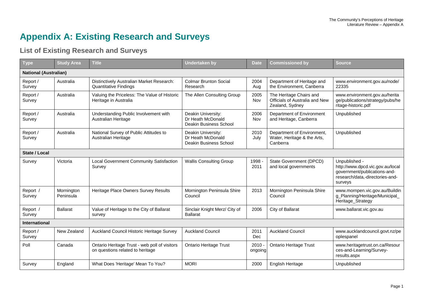# **Appendix A: Existing Research and Surveys**

## **List of Existing Research and Surveys**

<span id="page-2-1"></span><span id="page-2-0"></span>

| <b>Type</b>                  | <b>Study Area</b>       | <b>Title</b>                                                                      | <b>Undertaken by</b>                                              | <b>Date</b>         | <b>Commissioned by</b>                                                       | <b>Source</b>                                                                                                                   |
|------------------------------|-------------------------|-----------------------------------------------------------------------------------|-------------------------------------------------------------------|---------------------|------------------------------------------------------------------------------|---------------------------------------------------------------------------------------------------------------------------------|
| <b>National (Australian)</b> |                         |                                                                                   |                                                                   |                     |                                                                              |                                                                                                                                 |
| Report /<br>Survey           | Australia               | Distinctively Australian Market Research:<br><b>Quantitative Findings</b>         | <b>Colmar Brunton Social</b><br>Research                          | 2004<br>Aug         | Department of Heritage and<br>the Environment, Canberra                      | www.environment.gov.au/node/<br>22335                                                                                           |
| Report /<br>Survey           | Australia               | Valuing the Priceless: The Value of Historic<br>Heritage in Australia             | The Allen Consulting Group                                        | 2005<br>Nov         | The Heritage Chairs and<br>Officials of Australia and New<br>Zealand, Sydney | www.environment.gov.au/herita<br>ge/publications/strategy/pubs/he<br>ritage-historic.pdf                                        |
| Report /<br>Survey           | Australia               | Understanding Public Involvement with<br>Australian Heritage                      | Deakin University:<br>Dr Heath McDonald<br>Deakin Business School | 2006<br>Nov         | Department of Environment<br>and Heritage, Canberra                          | Unpublished                                                                                                                     |
| Report /<br>Survey           | Australia               | National Survey of Public Attitudes to<br>Australian Heritage                     | Deakin University:<br>Dr Heath McDonald<br>Deakin Business School | 2010<br>July        | Department of Environment,<br>Water, Heritage & the Arts,<br>Canberra        | Unpublished                                                                                                                     |
| State / Local                |                         |                                                                                   |                                                                   |                     |                                                                              |                                                                                                                                 |
| Survey                       | Victoria                | Local Government Community Satisfaction<br>Survey                                 | <b>Wallis Consulting Group</b>                                    | 1998 -<br>2011      | State Government (DPCD)<br>and local governments                             | Unpublished -<br>http://www.dpcd.vic.gov.au/local<br>government/publications-and-<br>research/data,-directories-and-<br>surveys |
| Report /<br>Survey           | Mornington<br>Peninsula | Heritage Place Owners Survey Results                                              | Mornington Peninsula Shire<br>Council                             | 2013                | Mornington Peninsula Shire<br>Council                                        | www.mornpen.vic.gov.au/Buildin<br>g_Planning/Heritage/Municipal_<br>Heritage_Strategy                                           |
| Report /<br>Survey           | <b>Ballarat</b>         | Value of Heritage to the City of Ballarat<br>survey                               | Sinclair Knight Merz/ City of<br><b>Ballarat</b>                  | 2006                | City of Ballarat                                                             | www.ballarat.vic.gov.au                                                                                                         |
| <b>International</b>         |                         |                                                                                   |                                                                   |                     |                                                                              |                                                                                                                                 |
| Report /<br>Survey           | New Zealand             | Auckland Council Historic Heritage Survey                                         | <b>Auckland Council</b>                                           | 2011<br>Dec         | <b>Auckland Council</b>                                                      | www.aucklandcouncil.govt.nz/pe<br>oplespanel                                                                                    |
| Poll                         | Canada                  | Ontario Heritage Trust - web poll of visitors<br>on questions related to heritage | <b>Ontario Heritage Trust</b>                                     | $2010 -$<br>ongoing | <b>Ontario Heritage Trust</b>                                                | www.heritagetrust.on.ca/Resour<br>ces-and-Learning/Survey-<br>results.aspx                                                      |
| Survey                       | England                 | What Does 'Heritage' Mean To You?                                                 | <b>MORI</b>                                                       | 2000                | English Heritage                                                             | Unpublished                                                                                                                     |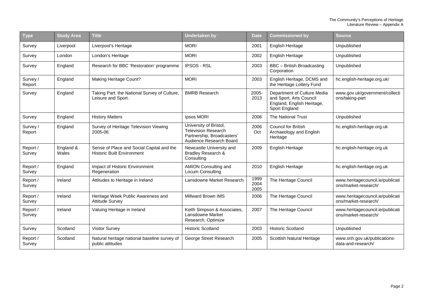| Type               | <b>Study Area</b>  | <b>Title</b>                                                                   | <b>Undertaken by</b>                                                                                          | <b>Date</b>          | <b>Commissioned by</b>                                                                                | <b>Source</b>                                            |
|--------------------|--------------------|--------------------------------------------------------------------------------|---------------------------------------------------------------------------------------------------------------|----------------------|-------------------------------------------------------------------------------------------------------|----------------------------------------------------------|
| Survey             | Liverpool          | Liverpool's Heritage                                                           | <b>MORI</b>                                                                                                   | 2001                 | English Heritage                                                                                      | Unpublished                                              |
| Survey             | London             | London's Heritage                                                              | <b>MORI</b>                                                                                                   | 2002                 | English Heritage                                                                                      | Unpublished                                              |
| Survey             | England            | Research for BBC 'Restoration' programme                                       | <b>IPSOS - RSL</b>                                                                                            | 2003                 | BBC - British Broadcasting<br>Corporation                                                             | Unpublished                                              |
| Survey /<br>Report | England            | <b>Making Heritage Count?</b>                                                  | <b>MORI</b>                                                                                                   | 2003                 | English Heritage, DCMS and<br>the Heritage Lottery Fund                                               | hc.english-heritage.org.uk/                              |
| Survey             | England            | Taking Part: the National Survey of Culture,<br>Leisure and Sport.             | <b>BMRB Research</b>                                                                                          | 2005-<br>2013        | Department of Culture Media<br>and Sport, Arts Council<br>England, English Heritage,<br>Sport England | www.gov.uk/government/collecti<br>ons/taking-part        |
| Survey             | England            | <b>History Matters</b>                                                         | Ipsos MORI                                                                                                    | 2006                 | <b>The National Trust</b>                                                                             | Unpublished                                              |
| Survey /<br>Report | England            | Survey of Heritage Television Viewing<br>2005-06                               | University of Bristol,<br><b>Television Research</b><br>Partnership, Broadcasters'<br>Audience Research Board | 2006<br>Oct          | <b>Council for British</b><br>Archaeology and English<br>Heritage                                     | hc.english-heritage.org.uk                               |
| Report /<br>Survey | England &<br>Wales | Sense of Place and Social Capital and the<br><b>Historic Built Environment</b> | Newcastle University and<br>Bradley Research &<br>Consulting                                                  | 2009                 | English Heritage                                                                                      | hc.english-heritage.org.uk                               |
| Report /<br>Survey | England            | Impact of Historic Environment<br>Regeneration                                 | <b>AMION Consulting and</b><br><b>Locum Consulting</b>                                                        | 2010                 | English Heritage                                                                                      | hc.english-heritage.org.uk                               |
| Report /<br>Survey | Ireland            | Attitudes to Heritage in Ireland                                               | Lansdowne Market Research                                                                                     | 1999<br>2004<br>2005 | The Heritage Council                                                                                  | www.heritagecouncil.ie/publicati<br>ons/market-research/ |
| Report /<br>Survey | Ireland            | Heritage Week Public Awareness and<br><b>Attitude Survey</b>                   | Millward Brown IMS                                                                                            | 2006                 | The Heritage Council                                                                                  | www.heritagecouncil.ie/publicati<br>ons/market-research/ |
| Report /<br>Survey | Ireland            | Valuing Heritage in Ireland                                                    | Keith Simpson & Associates,<br>Lansdowne Market<br>Research, Optimize                                         | 2007                 | The Heritage Council                                                                                  | www.heritagecouncil.ie/publicati<br>ons/market-research/ |
| Survey             | Scotland           | <b>Visitor Survey</b>                                                          | <b>Historic Scotland</b>                                                                                      | 2003                 | <b>Historic Scotland</b>                                                                              | Unpublished                                              |
| Report /<br>Survey | Scotland           | Natural heritage national baseline survey of<br>public attitudes               | George Street Research                                                                                        | 2005                 | Scottish Natural Heritage                                                                             | www.snh.gov.uk/publications-<br>data-and-research/       |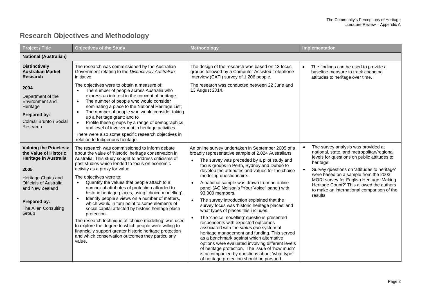## **Research Objectives and Methodology**

<span id="page-4-0"></span>

| <b>Project / Title</b>                                                                                                                                                                                                     | <b>Objectives of the Study</b>                                                                                                                                                                                                                                                                                                                                                                                                                                                                                                                                                                                                                                                                                                                                                                                                                                              | Methodology                                                                                                                                                                                                                                                                                                                                                                                                                                                                                                                                                                                                                                                                                                                                                                                                                                                                                                                                                                       | Implementation                                                                                                                                                                                                                                                                                                                                                                          |
|----------------------------------------------------------------------------------------------------------------------------------------------------------------------------------------------------------------------------|-----------------------------------------------------------------------------------------------------------------------------------------------------------------------------------------------------------------------------------------------------------------------------------------------------------------------------------------------------------------------------------------------------------------------------------------------------------------------------------------------------------------------------------------------------------------------------------------------------------------------------------------------------------------------------------------------------------------------------------------------------------------------------------------------------------------------------------------------------------------------------|-----------------------------------------------------------------------------------------------------------------------------------------------------------------------------------------------------------------------------------------------------------------------------------------------------------------------------------------------------------------------------------------------------------------------------------------------------------------------------------------------------------------------------------------------------------------------------------------------------------------------------------------------------------------------------------------------------------------------------------------------------------------------------------------------------------------------------------------------------------------------------------------------------------------------------------------------------------------------------------|-----------------------------------------------------------------------------------------------------------------------------------------------------------------------------------------------------------------------------------------------------------------------------------------------------------------------------------------------------------------------------------------|
| <b>National (Australian)</b>                                                                                                                                                                                               |                                                                                                                                                                                                                                                                                                                                                                                                                                                                                                                                                                                                                                                                                                                                                                                                                                                                             |                                                                                                                                                                                                                                                                                                                                                                                                                                                                                                                                                                                                                                                                                                                                                                                                                                                                                                                                                                                   |                                                                                                                                                                                                                                                                                                                                                                                         |
| <b>Distinctively</b><br><b>Australian Market</b><br>Research                                                                                                                                                               | The research was commissioned by the Australian<br>Government relating to the Distinctively Australian<br>initiative.                                                                                                                                                                                                                                                                                                                                                                                                                                                                                                                                                                                                                                                                                                                                                       | The design of the research was based on 13 focus<br>groups followed by a Computer Assisted Telephone<br>Interview (CATI) survey of 1,206 people.                                                                                                                                                                                                                                                                                                                                                                                                                                                                                                                                                                                                                                                                                                                                                                                                                                  | The findings can be used to provide a<br>baseline measure to track changing<br>attitudes to heritage over time.                                                                                                                                                                                                                                                                         |
| 2004<br>Department of the<br>Environment and<br>Heritage<br>Prepared by:<br><b>Colmar Brunton Social</b><br>Research                                                                                                       | The objectives were to obtain a measure of:<br>The number of people across Australia who<br>$\bullet$<br>express an interest in the concept of heritage.<br>The number of people who would consider<br>$\bullet$<br>nominating a place to the National Heritage List;<br>The number of people who would consider taking<br>$\bullet$<br>up a heritage grant; and to<br>Profile these groups by a range of demographics<br>and level of involvement in heritage activities.<br>There were also some specific research objectives in<br>relation to Indigenous heritage.                                                                                                                                                                                                                                                                                                      | The research was conducted between 22 June and<br>13 August 2014.                                                                                                                                                                                                                                                                                                                                                                                                                                                                                                                                                                                                                                                                                                                                                                                                                                                                                                                 |                                                                                                                                                                                                                                                                                                                                                                                         |
| <b>Valuing the Priceless:</b><br>the Value of Historic<br><b>Heritage in Australia</b><br>2005<br>Heritage Chairs and<br><b>Officials of Australia</b><br>and New Zealand<br>Prepared by:<br>The Allen Consulting<br>Group | The research was commissioned to inform debate<br>about the value of 'historic' heritage conservation in<br>Australia. This study sought to address criticisms of<br>past studies which tended to focus on economic<br>activity as a proxy for value.<br>The objectives were to:<br>Quantify the values that people attach to a<br>$\bullet$<br>number of attributes of protection afforded to<br>historic heritage places, using 'choice modelling'.<br>Identify people's views on a number of matters,<br>which would in turn point to some elements of<br>social capital affected by historic heritage place<br>protection.<br>The research technique of 'choice modelling' was used<br>to explore the degree to which people were willing to<br>financially support greater historic heritage protection<br>and which conservation outcomes they particularly<br>value. | An online survey undertaken in September 2005 of a<br>broadly representative sample of 2,024 Australians.<br>The survey was preceded by a pilot study and<br>focus groups in Perth, Sydney and Dubbo to<br>develop the attributes and values for the choice<br>modeling questionnaire.<br>A national sample was drawn from an online<br>panel (AC Neilson's "Your Voice" panel) with<br>93.000 members.<br>The survey introduction explained that the<br>survey focus was 'historic heritage places' and<br>what types of places this includes.<br>The 'choice modelling' questions presented<br>respondents with expected outcomes<br>associated with the status quo system of<br>heritage management and funding. This served<br>as a benchmark against which alternative<br>options were evaluated involving different levels<br>of heritage protection. The issue of 'how much'<br>is accompanied by questions about 'what type'<br>of heritage protection should be pursued. | The survey analysis was provided at<br>national, state, and metropolitan/regional<br>levels for questions on public attitudes to<br>heritage.<br>Survey questions on 'attitudes to heritage'<br>were based on a sample from the 2003<br>MORI survey for English Heritage 'Making<br>Heritage Count?' This allowed the authors<br>to make an international comparison of the<br>results. |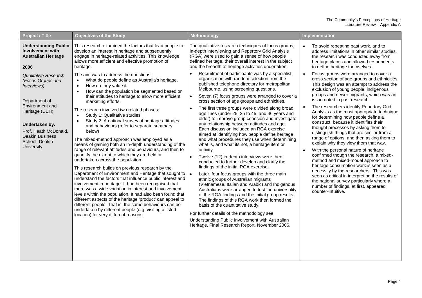| <b>Project / Title</b>                                                                                                                                                                                                                                                                                       | <b>Objectives of the Study</b>                                                                                                                                                                                                                                                                                                                                                                                                                                                                                                                                                                                                                                                                                                                                                                                                                                                                                                                                                                                                                                                                                                                                                                                                                                                                                                                                                                                                                                                                                                                                                             | Methodology                                                                                                                                                                                                                                                                                                                                                                                                                                                                                                                                                                                                                                                                                                                                                                                                                                                                                                                                                                                                                                                                                                                                                                                                                                                                                                                                                                                                                                                                                                                                                                                                                                             | Implementation                                                                                                                                                                                                                                                                                                                                                                                                                                                                                                                                                                                                                                                                                                                                                                                                                                                                                                                                                                                                                                                                                                                                                                                                                  |
|--------------------------------------------------------------------------------------------------------------------------------------------------------------------------------------------------------------------------------------------------------------------------------------------------------------|--------------------------------------------------------------------------------------------------------------------------------------------------------------------------------------------------------------------------------------------------------------------------------------------------------------------------------------------------------------------------------------------------------------------------------------------------------------------------------------------------------------------------------------------------------------------------------------------------------------------------------------------------------------------------------------------------------------------------------------------------------------------------------------------------------------------------------------------------------------------------------------------------------------------------------------------------------------------------------------------------------------------------------------------------------------------------------------------------------------------------------------------------------------------------------------------------------------------------------------------------------------------------------------------------------------------------------------------------------------------------------------------------------------------------------------------------------------------------------------------------------------------------------------------------------------------------------------------|---------------------------------------------------------------------------------------------------------------------------------------------------------------------------------------------------------------------------------------------------------------------------------------------------------------------------------------------------------------------------------------------------------------------------------------------------------------------------------------------------------------------------------------------------------------------------------------------------------------------------------------------------------------------------------------------------------------------------------------------------------------------------------------------------------------------------------------------------------------------------------------------------------------------------------------------------------------------------------------------------------------------------------------------------------------------------------------------------------------------------------------------------------------------------------------------------------------------------------------------------------------------------------------------------------------------------------------------------------------------------------------------------------------------------------------------------------------------------------------------------------------------------------------------------------------------------------------------------------------------------------------------------------|---------------------------------------------------------------------------------------------------------------------------------------------------------------------------------------------------------------------------------------------------------------------------------------------------------------------------------------------------------------------------------------------------------------------------------------------------------------------------------------------------------------------------------------------------------------------------------------------------------------------------------------------------------------------------------------------------------------------------------------------------------------------------------------------------------------------------------------------------------------------------------------------------------------------------------------------------------------------------------------------------------------------------------------------------------------------------------------------------------------------------------------------------------------------------------------------------------------------------------|
| <b>Understanding Public</b><br>Involvement with<br><b>Australian Heritage</b><br>2006<br>Qualitative Research<br>(Focus Groups and<br>Interviews)<br>Department of<br>Environment and<br>Heritage (DEH)<br>Undertaken by:<br>Prof. Heath McDonald,<br><b>Deakin Business</b><br>School, Deakin<br>University | This research examined the factors that lead people to<br>develop an interest in heritage and subsequently<br>engage in heritage-related activities. This knowledge<br>allows more efficient and effective promotion of<br>heritage.<br>The aim was to address the questions:<br>What do people define as Australia's heritage.<br>$\bullet$<br>How do they value it.<br>$\bullet$<br>How can the population be segmented based on<br>$\bullet$<br>their attitudes to heritage to allow more efficient<br>marketing efforts.<br>The research involved two related phases:<br>Study 1: Qualitative studies<br>$\bullet$<br>Study 2: A national survey of heritage attitudes<br>$\bullet$<br>and behaviours (refer to separate summary<br>below)<br>The mixed-method approach was employed as a<br>means of gaining both an in-depth understanding of the<br>range of relevant attitudes and behaviours, and then to<br>quantify the extent to which they are held or<br>undertaken across the population.<br>This research builds on previous research by the<br>Department of Environment and Heritage that sought to<br>understand the factors that influence public interest and<br>involvement in heritage. It had been recognised that<br>there was a wide variation in interest and involvement<br>levels within the population. It had also been found that<br>different aspects of the heritage 'product' can appeal to<br>different people. That is, the same behaviours can be<br>undertaken by different people (e.g. visiting a listed<br>location) for very different reasons. | The qualitative research techniques of focus groups,<br>in-depth interviewing and Repertory Grid Analysis<br>(RGA) were used to gain a sense of how people<br>defined heritage, their overall interest in the subject<br>and the breadth of heritage activities undertaken.<br>Recruitment of participants was by a specialist<br>$\bullet$<br>organisation with random selection from the<br>published telephone directory for metropolitan<br>Melbourne, using screening questions.<br>Seven (7) focus groups were arranged to cover a<br>cross section of age groups and ethnicities.<br>The first three groups were divided along broad<br>age lines (under 25, 25 to 45, and 46 years and<br>older) to improve group cohesion and investigate<br>any relationship between attitudes and age.<br>Each discussion included an RGA exercise<br>aimed at identifying how people define heritage<br>and what procedures they use when determining<br>what is, and what its not, a heritage item or<br>activity.<br>Twelve (12) in-depth interviews were then<br>conducted to further develop and clarify the<br>findings of the initial RGA exercise.<br>Later, four focus groups with the three main<br>ethnic groups of Australian migrants<br>(Vietnamese, Italian and Arabic) and Indigenous<br>Australians were arranged to test the universality<br>of the RGA findings and the initial group results.<br>The findings of this RGA work then formed the<br>basis of the quantitative study.<br>For further details of the methodology see:<br>Understanding Public Involvement with Australian<br>Heritage, Final Research Report, November 2006. | To avoid repeating past work, and to<br>address limitations in other similar studies,<br>the research was conducted away from<br>heritage places and allowed respondents<br>to define heritage themselves.<br>Focus groups were arranged to cover a<br>cross section of age groups and ethnicities.<br>This design was an attempt to address the<br>exclusion of young people, indigenous<br>groups and newer migrants, which was an<br>issue noted in past research.<br>The researchers identify Repertory Grid<br>$\bullet$<br>Analysis as the most appropriate technique<br>for determining how people define a<br>construct, because it identifies their<br>thought processes by asking them to<br>distinguish things that are similar from a<br>range of options, and then asking them to<br>explain why they view them that way.<br>With the personal nature of heritage<br>$\bullet$<br>confirmed though the research, a mixed-<br>method and mixed-model approach to<br>heritage consumption work is seen as a<br>necessity by the researchers. This was<br>seen as critical in interpreting the results of<br>the national survey particularly where a<br>number of findings, at first, appeared<br>counter-intuitive. |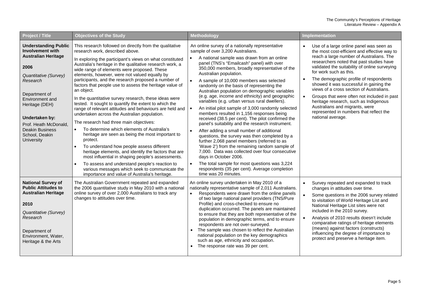| Project / Title                                                                                                                                                                                                                                                                              | <b>Objectives of the Study</b>                                                                                                                                                                                                                                                                                                                                                                                                                                                                                                                                                                                                                                                                                                                                                                                                                                                                                                                                                                                                                                                                                                                                      | Methodology                                                                                                                                                                                                                                                                                                                                                                                                                                                                                                                                                                                                                                                                                                                                                                                                                                                                                                                                                                                                                                                                                                                                         | Implementation                                                                                                                                                                                                                                                                                                                                                                                                                                                                                                                                                                                     |
|----------------------------------------------------------------------------------------------------------------------------------------------------------------------------------------------------------------------------------------------------------------------------------------------|---------------------------------------------------------------------------------------------------------------------------------------------------------------------------------------------------------------------------------------------------------------------------------------------------------------------------------------------------------------------------------------------------------------------------------------------------------------------------------------------------------------------------------------------------------------------------------------------------------------------------------------------------------------------------------------------------------------------------------------------------------------------------------------------------------------------------------------------------------------------------------------------------------------------------------------------------------------------------------------------------------------------------------------------------------------------------------------------------------------------------------------------------------------------|-----------------------------------------------------------------------------------------------------------------------------------------------------------------------------------------------------------------------------------------------------------------------------------------------------------------------------------------------------------------------------------------------------------------------------------------------------------------------------------------------------------------------------------------------------------------------------------------------------------------------------------------------------------------------------------------------------------------------------------------------------------------------------------------------------------------------------------------------------------------------------------------------------------------------------------------------------------------------------------------------------------------------------------------------------------------------------------------------------------------------------------------------------|----------------------------------------------------------------------------------------------------------------------------------------------------------------------------------------------------------------------------------------------------------------------------------------------------------------------------------------------------------------------------------------------------------------------------------------------------------------------------------------------------------------------------------------------------------------------------------------------------|
| <b>Understanding Public</b><br><b>Involvement with</b><br><b>Australian Heritage</b><br>2006<br>Quantitative (Survey)<br>Research<br>Department of<br>Environment and<br>Heritage (DEH)<br>Undertaken by:<br>Prof. Heath McDonald,<br><b>Deakin Business</b><br>School, Deakin<br>University | This research followed on directly from the qualitative<br>research work, described above.<br>In exploring the participant's views on what constituted<br>Australia's heritage in the qualitative research work, a<br>wide range of elements were proposed. These<br>elements, however, were not valued equally by<br>participants, and the research proposed a number of<br>factors that people use to assess the heritage value of<br>an object.<br>In the quantitative survey research, these ideas were<br>tested. It sought to quantify the extent to which the<br>range of relevant attitudes and behaviours are held and<br>undertaken across the Australian population.<br>The research had three main objectives:<br>To determine which elements of Australia's<br>$\bullet$<br>heritage are seen as being the most important to<br>protect.<br>To understand how people assess different<br>heritage elements, and identify the factors that are<br>most influential in shaping people's assessments.<br>To assess and understand people's reaction to<br>various messages which seek to communicate the<br>importance and value of Australia's heritage. | An online survey of a nationally representative<br>sample of over 3,200 Australians.<br>A national sample was drawn from an online<br>panel (TNS's "Emailcash" panel) with over<br>350,000 members, broadly representative of the<br>Australian population.<br>$\bullet$<br>A sample of 10,000 members was selected<br>randomly on the basis of representing the<br>Australian population on demographic variables<br>(e.g. age, income and ethnicity) and geographic<br>variables (e.g. urban versus rural dwellers).<br>An initial pilot sample of 3,000 randomly selected<br>members resulted in 1,156 responses being<br>received (38.5 per cent). The pilot confirmed the<br>panel's suitability and the research instrument.<br>After adding a small number of additional<br>questions, the survey was then completed by a<br>further 2,068 panel members (referred to as<br>'Wave 2') from the remaining random sample of<br>7,000. Data was collected over four consecutive<br>days in October 2006.<br>The total sample for most questions was 3,224<br>$\bullet$<br>respondents (35 per cent). Average completion<br>time was 20 minutes. | Use of a large online panel was seen as<br>the most cost-efficient and effective way to<br>reach a large number of Australians. The<br>researchers noted that past studies have<br>validated the suitability of online surveying<br>for work such as this.<br>The demographic profile of respondents<br>$\bullet$<br>showed it was successful in gaining the<br>views of a cross section of Australians.<br>Groups that were often not included in past<br>heritage research, such as Indigenous<br>Australians and migrants, were<br>represented in numbers that reflect the<br>national average. |
| <b>National Survey of</b><br><b>Public Attitudes to</b><br><b>Australian Heritage</b><br>2010<br>Quantitative (Survey)<br>Research<br>Department of<br>Environment, Water,<br>Heritage & the Arts                                                                                            | The Australian Government repeated and expanded<br>the 2006 quantitative study in May 2010 with a national<br>online survey of over 2,000 Australians to track any<br>changes to attitudes over time.                                                                                                                                                                                                                                                                                                                                                                                                                                                                                                                                                                                                                                                                                                                                                                                                                                                                                                                                                               | An online survey undertaken in May 2010 of a<br>nationally representative sample of 2,011 Australians.<br>Respondents were drawn from the online panels<br>of two large national panel providers (TNS/Pure<br>Profile) and cross-checked to ensure no<br>duplication occurred. The panels are maintained<br>to ensure that they are both representative of the<br>population in demographic terms, and to ensure<br>respondents are not over-surveyed.<br>The sample was chosen to reflect the Australian<br>national population on the key demographics<br>such as age, ethnicity and occupation.<br>The response rate was 39 per cent.                                                                                                                                                                                                                                                                                                                                                                                                                                                                                                            | Survey repeated and expanded to track<br>changes in attitudes over time.<br>Some questions in the 2006 survey related<br>to visitation of World Heritage List and<br>National Heritage List sites were not<br>included in the 2010 survey.<br>Analysis of 2010 results doesn't include<br>comparative ratings of heritage elements<br>(means) against factors (constructs)<br>influencing the degree of importance to<br>protect and preserve a heritage item.                                                                                                                                     |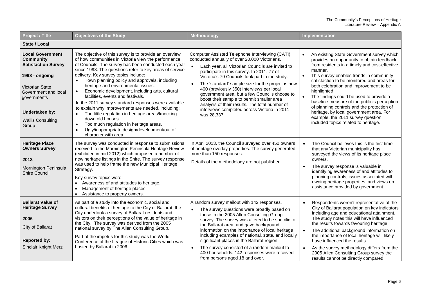| <b>Project / Title</b>                                                                                                                                                                                       | <b>Objectives of the Study</b>                                                                                                                                                                                                                                                                                                                                                                                                                                                                                                                                                                                                                                                                                                                                                                        | Methodology                                                                                                                                                                                                                                                                                                                                                                                                                                                                                                                                                           | Implementation                                                                                                                                                                                                                                                                                                                                                                                                                                                                                                                                                         |
|--------------------------------------------------------------------------------------------------------------------------------------------------------------------------------------------------------------|-------------------------------------------------------------------------------------------------------------------------------------------------------------------------------------------------------------------------------------------------------------------------------------------------------------------------------------------------------------------------------------------------------------------------------------------------------------------------------------------------------------------------------------------------------------------------------------------------------------------------------------------------------------------------------------------------------------------------------------------------------------------------------------------------------|-----------------------------------------------------------------------------------------------------------------------------------------------------------------------------------------------------------------------------------------------------------------------------------------------------------------------------------------------------------------------------------------------------------------------------------------------------------------------------------------------------------------------------------------------------------------------|------------------------------------------------------------------------------------------------------------------------------------------------------------------------------------------------------------------------------------------------------------------------------------------------------------------------------------------------------------------------------------------------------------------------------------------------------------------------------------------------------------------------------------------------------------------------|
| State / Local                                                                                                                                                                                                |                                                                                                                                                                                                                                                                                                                                                                                                                                                                                                                                                                                                                                                                                                                                                                                                       |                                                                                                                                                                                                                                                                                                                                                                                                                                                                                                                                                                       |                                                                                                                                                                                                                                                                                                                                                                                                                                                                                                                                                                        |
| <b>Local Government</b><br><b>Community</b><br><b>Satisfaction Survey</b><br>1998 - ongoing<br>Victorian State<br>Government and local<br>governments<br>Undertaken by:<br><b>Wallis Consulting</b><br>Group | The objective of this survey is to provide an overview<br>of how communities in Victoria view the performance<br>of Councils. The survey has been conducted each year<br>since 1998. The questions refer to key areas of service<br>delivery. Key survey topics include:<br>Town planning policy and approvals, including<br>heritage and environmental issues.<br>Economic development, including arts, cultural<br>$\bullet$<br>facilities, events and festivals.<br>In the 2011 survey standard responses were available<br>to explain why improvements are needed, including:<br>Too little regulation in heritage areas/knocking<br>down old houses.<br>Too much regulation in heritage areas.<br>$\bullet$<br>Ugly/inappropriate design/development/out of<br>$\bullet$<br>character with area. | Computer Assisted Telephone Interviewing (CATI)<br>conducted annually of over 20,000 Victorians.<br>Each year, all Victorian Councils are invited to<br>participate in this survey. In 2011, 77 of<br>Victoria's 79 Councils took part in the study.<br>The 'standard' sample size for the project is now<br>400 (previously 350) interviews per local<br>government area, but a few Councils choose to<br>boost their sample to permit smaller area<br>analysis of their results. The total number of<br>interviews completed across Victoria in 2011<br>was 28,337. | An existing State Government survey which<br>provides an opportunity to obtain feedback<br>from residents in a timely and cost-effective<br>manner.<br>This survey enables trends in community<br>satisfaction to be monitored and areas for<br>both celebration and improvement to be<br>highlighted.<br>The findings could be used to provide a<br>baseline measure of the public's perception<br>of planning controls and the protection of<br>heritage, by local government area. For<br>example, the 2011 survey question<br>included topics related to heritage. |
| <b>Heritage Place</b><br><b>Owners Survey</b><br>2013<br>Mornington Peninsula<br><b>Shire Council</b>                                                                                                        | The survey was conducted in response to submissions<br>received to the Mornington Peninsula Heritage Review<br>(exhibited in mid 2012) which proposed a number of<br>new heritage listings in the Shire. The survey response<br>was used to help frame the new Municipal Heritage<br>Strategy.<br>Key survey topics were:<br>Awareness of and attitudes to heritage.<br>$\bullet$<br>Management of heritage places.<br>$\bullet$<br>Assistance to property owners.                                                                                                                                                                                                                                                                                                                                    | In April 2013, the Council surveyed over 450 owners<br>of heritage overlay properties. The survey generated<br>more than 150 responses.<br>Details of the methodology are not published.                                                                                                                                                                                                                                                                                                                                                                              | The Council believes this is the first time<br>$\bullet$<br>that any Victorian municipality has<br>surveyed the views of its heritage place<br>owners.<br>The survey response is valuable in<br>identifying awareness of and attitudes to<br>planning controls, issues associated with<br>owning heritage properties, and views on<br>assistance provided by government.                                                                                                                                                                                               |
| <b>Ballarat Value of</b><br><b>Heritage Survey</b><br>2006<br>City of Ballarat<br><b>Reported by:</b><br>Sinclair Knight Merz                                                                                | As part of a study into the economic, social and<br>cultural benefits of heritage to the City of Ballarat, the<br>City undertook a survey of Ballarat residents and<br>visitors on their perceptions of the value of heritage in<br>the City. The survey was derived from the 2005<br>national survey by The Allen Consulting Group.<br>Part of the impetus for this study was the World<br>Conference of the League of Historic Cities which was<br>hosted by Ballarat in 2006.                                                                                                                                                                                                                                                                                                                      | A random survey mailout with 142 responses.<br>The survey questions were broadly based on<br>those in the 2005 Allen Consulting Group<br>survey. The survey was altered to be specific to<br>the Ballarat area, and gave background<br>information on the importance of local heritage<br>including examples of national, state, and locally<br>significant places in the Ballarat region.<br>The survey consisted of a random mailout to<br>$\bullet$<br>400 households. 142 responses were received<br>from persons aged 18 and over.                               | Respondents weren't representative of the<br>City of Ballarat population on key indicators<br>including age and educational attainment.<br>The study notes this will have influenced<br>the results towards favouring heritage.<br>The additional background information on<br>the importance of local heritage will likely<br>have influenced the results.<br>As the survey methodology differs from the<br>$\bullet$<br>2005 Allen Consulting Group survey the<br>results cannot be directly compared.                                                               |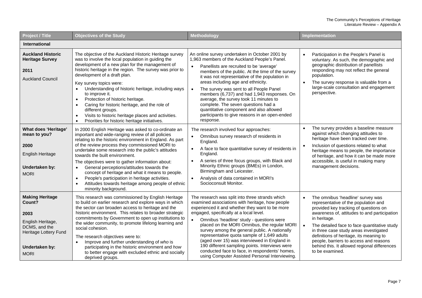#### The Community's Perceptions of Heritage Literature Review – Appendix A

| <b>Project / Title</b>                                                                                                                   | <b>Objectives of the Study</b>                                                                                                                                                                                                                                                                                                                                                                                                                                                                                                                                                                                                  | Methodology                                                                                                                                                                                                                                                                                                                                                                                                                                                                                                                                                                                                      | Implementation                                                                                                                                                                                                                                                                                                                                                                                                                                                 |
|------------------------------------------------------------------------------------------------------------------------------------------|---------------------------------------------------------------------------------------------------------------------------------------------------------------------------------------------------------------------------------------------------------------------------------------------------------------------------------------------------------------------------------------------------------------------------------------------------------------------------------------------------------------------------------------------------------------------------------------------------------------------------------|------------------------------------------------------------------------------------------------------------------------------------------------------------------------------------------------------------------------------------------------------------------------------------------------------------------------------------------------------------------------------------------------------------------------------------------------------------------------------------------------------------------------------------------------------------------------------------------------------------------|----------------------------------------------------------------------------------------------------------------------------------------------------------------------------------------------------------------------------------------------------------------------------------------------------------------------------------------------------------------------------------------------------------------------------------------------------------------|
| <b>International</b>                                                                                                                     |                                                                                                                                                                                                                                                                                                                                                                                                                                                                                                                                                                                                                                 |                                                                                                                                                                                                                                                                                                                                                                                                                                                                                                                                                                                                                  |                                                                                                                                                                                                                                                                                                                                                                                                                                                                |
| <b>Auckland Historic</b><br><b>Heritage Survey</b><br>2011<br><b>Auckland Council</b>                                                    | The objective of the Auckland Historic Heritage survey<br>was to involve the local population in guiding the<br>development of a new plan for the management of<br>historic heritage in the region. The survey was prior to<br>development of a draft plan.<br>Key survey topics were:<br>Understanding of historic heritage, including ways<br>to improve it.<br>Protection of historic heritage.<br>$\bullet$<br>Caring for historic heritage, and the role of<br>different groups.<br>Visits to historic heritage places and activities.<br>$\bullet$<br>Priorities for historic heritage initiatives.<br>$\bullet$          | An online survey undertaken in October 2001 by<br>1,963 members of the Auckland People's Panel.<br>Panellists are recruited to be 'average'<br>members of the public. At the time of the survey<br>it was not representative of the population in<br>areas including age and ethnicity.<br>The survey was sent to all People Panel<br>$\bullet$<br>members (6,737) and had 1,943 responses. On<br>average, the survey took 11 minutes to<br>complete. The seven questions had a<br>quantitative component and also allowed<br>participants to give reasons in an open-ended<br>response.                         | Participation in the People's Panel is<br>$\bullet$<br>voluntary. As such, the demographic and<br>geographic distribution of panellists<br>responding may not reflect the general<br>population.<br>The survey response is valuable from a<br>$\bullet$<br>large-scale consultation and engagement<br>perspective.                                                                                                                                             |
| <b>What does 'Heritage'</b><br>mean to you?<br>2000<br><b>English Heritage</b><br>Undertaken by:<br><b>MORI</b>                          | In 2000 English Heritage was asked to co-ordinate an<br>important and wide-ranging review of all policies<br>relating to the historic environment in England. As part<br>of the review process they commissioned MORI to<br>undertake some research into the public's attitudes<br>towards the built environment.<br>The objectives were to gather information about:<br>General perceptions/attitudes towards the<br>$\bullet$<br>concept of heritage and what it means to people.<br>People's participation in heritage activities.<br>$\bullet$<br>Attitudes towards heritage among people of ethnic<br>minority background. | The research involved four approaches:<br>Omnibus survey research of residents in<br>$\bullet$<br>England.<br>A face to face quantitative survey of residents in<br>$\bullet$<br>England.<br>A series of three focus groups, with Black and<br>$\bullet$<br>Minority Ethnic groups (BMEs) in London,<br>Birmingham and Leicester.<br>Analysis of data contained in MORI's<br>$\bullet$<br>Socioconsult Monitor.                                                                                                                                                                                                  | The survey provides a baseline measure<br>$\bullet$<br>against which changing attitudes to<br>heritage have been tracked over time.<br>Inclusion of questions related to what<br>$\bullet$<br>heritage means to people, the importance<br>of heritage, and how it can be made more<br>accessible, is useful in making many<br>management decisions.                                                                                                            |
| <b>Making Heritage</b><br>Count?<br>2003<br>English Heritage,<br>DCMS, and the<br>Heritage Lottery Fund<br>Undertaken by:<br><b>MORI</b> | This research was commissioned by English Heritage<br>to build on earlier research and explore ways in which<br>the sector can broaden access to heritage and the<br>historic environment. This relates to broader strategic<br>commitments by Government to open up institutions to<br>the wider community, to promote lifelong learning and<br>social cohesion.<br>The research objectives were to:<br>Improve and further understanding of who is<br>participating in the historic environment and how<br>to better engage with excluded ethnic and socially<br>deprived groups.                                             | The research was split into three strands which<br>examined associations with heritage, how people<br>experienced it and whether they want to be more<br>engaged, specifically at a local level.<br>Omnibus 'headline' study - questions were<br>$\bullet$<br>placed on the MORI Omnibus, the regular MORI<br>survey among the general public. A nationally<br>representative quota sample of 1,649 adults<br>(aged over 15) was interviewed in England in<br>190 different sampling points. Interviews were<br>conducted face to face, in respondents' homes,<br>using Computer Assisted Personal Interviewing. | The omnibus 'headline' survey was<br>$\bullet$<br>representative of the population and<br>provided key tracking of questions on<br>awareness of, attitudes to and participation<br>in heritage.<br>The detailed face to face quantitative study<br>$\bullet$<br>in three case study areas investigated<br>definitions of heritage, its meaning to<br>people, barriers to access and reasons<br>behind this. It allowed regional differences<br>to be examined. |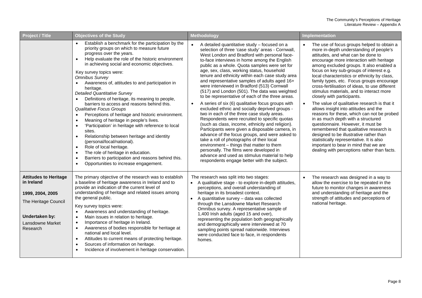| Project / Title                                                                                                                          | <b>Objectives of the Study</b>                                                                                                                                                                                                                                                                                                                                                                                                                                                                                                                                                                                                                                                                                                                                                                                                                                                                                                                                                                           | Methodology                                                                                                                                                                                                                                                                                                                                                                                                                                                                                                                                                                                                                                                                                                                                                                                                                                                                                                                                                                                                                                                                                                                                                  | Implementation                                                                                                                                                                                                                                                                                                                                                                                                                                                                                                                                                                                                                                                                                                                                                                                                                                                                                                                        |
|------------------------------------------------------------------------------------------------------------------------------------------|----------------------------------------------------------------------------------------------------------------------------------------------------------------------------------------------------------------------------------------------------------------------------------------------------------------------------------------------------------------------------------------------------------------------------------------------------------------------------------------------------------------------------------------------------------------------------------------------------------------------------------------------------------------------------------------------------------------------------------------------------------------------------------------------------------------------------------------------------------------------------------------------------------------------------------------------------------------------------------------------------------|--------------------------------------------------------------------------------------------------------------------------------------------------------------------------------------------------------------------------------------------------------------------------------------------------------------------------------------------------------------------------------------------------------------------------------------------------------------------------------------------------------------------------------------------------------------------------------------------------------------------------------------------------------------------------------------------------------------------------------------------------------------------------------------------------------------------------------------------------------------------------------------------------------------------------------------------------------------------------------------------------------------------------------------------------------------------------------------------------------------------------------------------------------------|---------------------------------------------------------------------------------------------------------------------------------------------------------------------------------------------------------------------------------------------------------------------------------------------------------------------------------------------------------------------------------------------------------------------------------------------------------------------------------------------------------------------------------------------------------------------------------------------------------------------------------------------------------------------------------------------------------------------------------------------------------------------------------------------------------------------------------------------------------------------------------------------------------------------------------------|
|                                                                                                                                          | Establish a benchmark for the participation by the<br>priority groups on which to measure future<br>progress over the years.<br>Help evaluate the role of the historic environment<br>$\bullet$<br>in achieving social and economic objectives.<br>Key survey topics were:<br><b>Omnibus Survey</b><br>Awareness of, attitudes to and participation in<br>heritage.<br><b>Detailed Quantitative Survey</b><br>Definitions of heritage, its meaning to people,<br>barriers to access and reasons behind this.<br>Qualitative Focus Groups<br>Perceptions of heritage and historic environment.<br>$\bullet$<br>Meaning of heritage in people's lives.<br>'Participation' in heritage with reference to local<br>$\bullet$<br>sites.<br>Relationship between heritage and identity<br>$\bullet$<br>(personal/local/national).<br>Role of local heritage.<br>$\bullet$<br>The role of heritage in education.<br>Barriers to participation and reasons behind this.<br>Opportunities to increase engagement. | A detailed quantitative study - focused on a<br>selection of three 'case study' areas - Cornwall,<br>West London and Bradford with personal face-<br>to-face interviews in home among the English<br>public as a whole. Quota samples were set for<br>age, sex, class, working status, household<br>tenure and ethnicity within each case study area<br>and representative samples of adults aged 16+<br>were interviewed in Bradford (513) Cornwall<br>(517) and London (501). The data was weighted<br>to be representative of each of the three areas.<br>A series of six (6) qualitative focus groups with<br>excluded ethnic and socially deprived groups -<br>two in each of the three case study areas.<br>Respondents were recruited to specific quotas<br>(such as class, income, ethnicity and religion).<br>Participants were given a disposable camera, in<br>advance of the focus groups, and were asked to<br>take a roll of photographs of their local<br>environment - things that matter to them<br>personally. The films were developed in<br>advance and used as stimulus material to help<br>respondents engage better with the subject. | The use of focus groups helped to obtain a<br>more in-depth understanding of people's<br>attitudes, and what can be done to<br>encourage more interaction with heritage<br>among excluded groups. It also enabled a<br>focus on key sub-groups of interest e.g.<br>local characteristics or ethnicity by class,<br>family types, etc. Focus groups encourage<br>cross-fertilisation of ideas, to use different<br>stimulus materials, and to interact more<br>closely with participants.<br>The value of qualitative research is that it<br>allows insight into attitudes and the<br>reasons for these, which can not be probed<br>in as much depth with a structured<br>questionnaire. However, it must be<br>remembered that qualitative research is<br>designed to be illustrative rather than<br>statistically representative. It is also<br>important to bear in mind that we are<br>dealing with perceptions rather than facts. |
| <b>Attitudes to Heritage</b><br>in Ireland<br>1999, 2004, 2005<br>The Heritage Council<br>Undertaken by:<br>Lansdowne Market<br>Research | The primary objective of the research was to establish<br>a baseline of heritage awareness in Ireland and to<br>provide an indication of the current level of<br>understanding of heritage and related issues among<br>the general public.<br>Key survey topics were:<br>Awareness and understanding of heritage.<br>Main issues in relation to heritage.<br>$\bullet$<br>Importance of heritage in Ireland.<br>$\bullet$<br>Awareness of bodies responsible for heritage at<br>national and local level.<br>Attitudes to current means of protecting heritage.<br>$\bullet$<br>Sources of information on heritage.<br>Incidence of involvement in heritage conservation.                                                                                                                                                                                                                                                                                                                                | The research was split into two stages:<br>A qualitative stage - to explore in-depth attitudes,<br>perceptions, and overall understanding of<br>heritage in its broadest context.<br>A quantitative survey - data was collected<br>through the Lansdowne Market Research<br>Omnibus survey. A representative sample of<br>1,400 Irish adults (aged 15 and over),<br>representing the population both geographically<br>and demographically were interviewed at 70<br>sampling points spread nationwide. Interviews<br>were conducted face to face, in respondents<br>homes.                                                                                                                                                                                                                                                                                                                                                                                                                                                                                                                                                                                  | The research was designed in a way to<br>allow the exercise to be repeated in the<br>future to monitor changes in awareness<br>and understanding of heritage and the<br>strength of attitudes and perceptions of<br>national heritage.                                                                                                                                                                                                                                                                                                                                                                                                                                                                                                                                                                                                                                                                                                |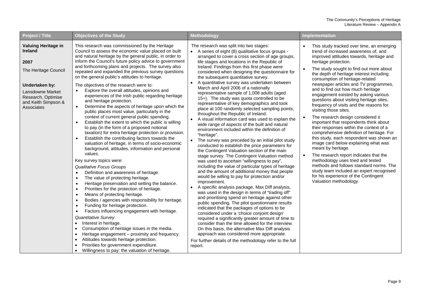| Project / Title                                                                                                                                                        | <b>Objectives of the Study</b>                                                                                                                                                                                                                                                                                                                                                                                                                                                                                                                                                                                                                                                                                                                                                                                                                                                                                                                                                                                                                                                                                                                                                                                                                                                                                                                                                                                                                                                                                                                               | Methodology                                                                                                                                                                                                                                                                                                                                                                                                                                                                                                                                                                                                                                                                                                                                                                                                                                                                                                                                                                                                                                                                                                                                                                                                                                                                                                                                                                                                                                                                                     | <b>Implementation</b>                                                                                                                                                                                                                                                                                                                                                                                                                                                                                                                                                                                                                                                                                                                                                                                                                                                                                                                                                                                                                          |
|------------------------------------------------------------------------------------------------------------------------------------------------------------------------|--------------------------------------------------------------------------------------------------------------------------------------------------------------------------------------------------------------------------------------------------------------------------------------------------------------------------------------------------------------------------------------------------------------------------------------------------------------------------------------------------------------------------------------------------------------------------------------------------------------------------------------------------------------------------------------------------------------------------------------------------------------------------------------------------------------------------------------------------------------------------------------------------------------------------------------------------------------------------------------------------------------------------------------------------------------------------------------------------------------------------------------------------------------------------------------------------------------------------------------------------------------------------------------------------------------------------------------------------------------------------------------------------------------------------------------------------------------------------------------------------------------------------------------------------------------|-------------------------------------------------------------------------------------------------------------------------------------------------------------------------------------------------------------------------------------------------------------------------------------------------------------------------------------------------------------------------------------------------------------------------------------------------------------------------------------------------------------------------------------------------------------------------------------------------------------------------------------------------------------------------------------------------------------------------------------------------------------------------------------------------------------------------------------------------------------------------------------------------------------------------------------------------------------------------------------------------------------------------------------------------------------------------------------------------------------------------------------------------------------------------------------------------------------------------------------------------------------------------------------------------------------------------------------------------------------------------------------------------------------------------------------------------------------------------------------------------|------------------------------------------------------------------------------------------------------------------------------------------------------------------------------------------------------------------------------------------------------------------------------------------------------------------------------------------------------------------------------------------------------------------------------------------------------------------------------------------------------------------------------------------------------------------------------------------------------------------------------------------------------------------------------------------------------------------------------------------------------------------------------------------------------------------------------------------------------------------------------------------------------------------------------------------------------------------------------------------------------------------------------------------------|
| Valuing Heritage in<br><b>Ireland</b><br>2007<br>The Heritage Council<br>Undertaken by:<br>Lansdowne Market<br>Research, Optimise<br>and Keith Simpson &<br>Associates | This research was commissioned by the Heritage<br>Council to assess the economic value placed on built<br>and natural heritage by the general public, in order to<br>inform the Council's future policy advice to government<br>and forthcoming plans and projects. The survey also<br>repeated and expanded the previous survey questions<br>on the general public's attitudes to heritage.<br>The objectives of the research were to:<br>Explore the overall attitudes, opinions and<br>experiences of the Irish public regarding heritage<br>and heritage protection.<br>Determine the aspects of heritage upon which the<br>$\bullet$<br>public places most value, particularly in the<br>context of current general public spending.<br>Establish the extent to which the public is willing<br>to pay (in the form of a proposed notional<br>taxation) for extra heritage protection or provision.<br>Establish the contributing factors towards the<br>$\bullet$<br>valuation of heritage, in terms of socio-economic<br>background, attitudes, information and personal<br>values.<br>Key survey topics were:<br><b>Qualitative Focus Groups</b><br>Definition and awareness of heritage.<br>$\bullet$<br>The value of protecting heritage.<br>$\bullet$<br>Heritage preservation and setting the balance.<br>$\bullet$<br>Priorities for the protection of heritage.<br>$\bullet$<br>Means of protecting heritage.<br>$\bullet$<br>Bodies / agencies with responsibility for heritage.<br>$\bullet$<br>Funding for heritage protection.<br>$\bullet$ | The research was split into two stages:<br>A series of eight (8) qualitative focus groups -<br>arranged to cover a cross section of age groups,<br>life stages and locations in the Republic of<br>Ireland. Findings from this first phase were<br>considered when designing the questionnaire for<br>the subsequent quantitative survey.<br>A quantitative survey was undertaken between<br>March and April 2006 of a nationally<br>representative sample of 1,008 adults (aged<br>15+). The study was quota controlled to be<br>representative of key demographics and took<br>place at 100 randomly selected sampling points,<br>throughout the Republic of Ireland.<br>A visual information card was used to explain the<br>wide range of aspects of the built and natural<br>environment included within the definition of<br>"heritage".<br>The survey was preceded by an initial pilot study<br>conducted to establish the price parameters for<br>the Contingent Valuation section of the main<br>stage survey. The Contingent Valuation method<br>was used to ascertain "willingness to pay",<br>including the value of particular types of heritage<br>and the amount of additional money that people<br>would be willing to pay for protection and/or<br>improvement.<br>A specific analysis package, Max Diff analysis,<br>was used in the design in terms of "trading off"<br>and prioritising spend on heritage against other<br>public spending. The pilot questionnaire results | This study tracked over time, an emerging<br>trend of increased awareness of, and<br>improved attitudes towards, heritage and<br>heritage protection.<br>The study sought to find out more about<br>the depth of heritage interest including<br>consumption of heritage-related<br>newspaper articles and TV programmes,<br>and to find out how much heritage<br>engagement existed by asking various<br>questions about visiting heritage sites,<br>frequency of visits and the reasons for<br>visiting those sites.<br>The research design considered it<br>important that respondents think about<br>their responses within the context of a<br>comprehensive definition of heritage. For<br>this study, each respondent was shown an<br>image card below explaining what was<br>meant by heritage.<br>The research report indicates that the<br>methodology uses tried and tested<br>methods and follows standard norms. The<br>study team included an expert recognised<br>for his experience of the Contingent<br>Valuation methodology. |
|                                                                                                                                                                        | Factors influencing engagement with heritage.<br>$\bullet$<br>Quantitative Survey<br>Interest in heritage.<br>$\bullet$<br>Consumption of heritage issues in the media.<br>$\bullet$<br>Heritage engagement - proximity and frequency.<br>$\bullet$<br>Attitudes towards heritage protection.<br>Priorities for government expenditure.<br>Willingness to pay: the valuation of heritage.                                                                                                                                                                                                                                                                                                                                                                                                                                                                                                                                                                                                                                                                                                                                                                                                                                                                                                                                                                                                                                                                                                                                                                    | indicated that the packages of options to be<br>considered under a 'choice conjoint design'<br>required a significantly greater amount of time to<br>consider than the time allowed for the interview.<br>On this basis, the alternative Max Diff analysis<br>approach was considered more appropriate.<br>For further details of the methodology refer to the full<br>report.                                                                                                                                                                                                                                                                                                                                                                                                                                                                                                                                                                                                                                                                                                                                                                                                                                                                                                                                                                                                                                                                                                                  |                                                                                                                                                                                                                                                                                                                                                                                                                                                                                                                                                                                                                                                                                                                                                                                                                                                                                                                                                                                                                                                |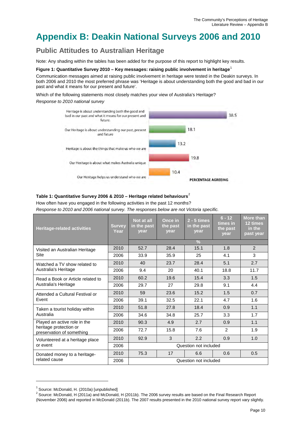# <span id="page-11-0"></span>**Appendix B: Deakin National Surveys 2006 and 2010**

### <span id="page-11-1"></span>**Public Attitudes to Australian Heritage**

Note: Any shading within the tables has been added for the purpose of this report to highlight key results.

#### <span id="page-11-2"></span>**Figure 1: Quantitative Survey 2010 – Key messages: raising public involvement in heritage**[1](#page-11-4)

Communication messages aimed at raising public involvement in heritage were tested in the Deakin surveys. In both 2006 and 2010 the most preferred phrase was 'Heritage is about understanding both the good and bad in our past and what it means for our present and future'.

Which of the following statements most closely matches your view of Australia's Heritage? *Response to 2010 national survey*



#### <span id="page-11-3"></span>**Table 1: Quantitative Survey 2006 & 2010 – Heritage related behaviours**[2](#page-11-5)

How often have you engaged in the following activities in the past 12 months? *Response to 2010 and 2006 national survey. The responses below are not Victoria specific.*

| <b>Heritage-related activities</b>                        | <b>Survey</b><br>Year | Not at all<br>in the past<br>vear | Once in<br>the past<br>year | $2 - 5$ times<br>in the past<br>vear | $6 - 12$<br>times in<br>the past<br>year | More than<br>12 times<br>in the<br>past year |
|-----------------------------------------------------------|-----------------------|-----------------------------------|-----------------------------|--------------------------------------|------------------------------------------|----------------------------------------------|
|                                                           |                       |                                   |                             | $\frac{9}{6}$                        |                                          |                                              |
| Visited an Australian Heritage                            | 2010                  | 52.7                              | 28.4                        | 15.1                                 | 1.8                                      | 2                                            |
| Site                                                      | 2006                  | 33.9                              | 35.9                        | 25                                   | 4.1                                      | 3                                            |
| Watched a TV show related to                              | 2010                  | 40                                | 23.7                        | 28.4                                 | 5.1                                      | 2.7                                          |
| Australia's Heritage                                      | 2006                  | 9.4                               | 20                          | 40.1                                 | 18.8                                     | 11.7                                         |
| Read a Book or Article related to<br>Australia's Heritage | 2010                  | 60.2                              | 19.6                        | 15.4                                 | 3.3                                      | 1.5                                          |
|                                                           | 2006                  | 29.7                              | 27                          | 29.8                                 | 9.1                                      | 4.4                                          |
| Attended a Cultural Festival or                           | 2010                  | 59                                | 23.6                        | 15.2                                 | 1.5                                      | 0.7                                          |
| Event                                                     | 2006                  | 39.1                              | 32.5                        | 22.1                                 | 4.7                                      | 1.6                                          |
| Taken a tourist holiday within                            | 2010                  | 51.8                              | 27.8                        | 18.4                                 | 0.9                                      | 1.1                                          |
| Australia                                                 | 2006                  | 34.6                              | 34.8                        | 25.7                                 | 3.3                                      | 1.7                                          |
| Played an active role in the                              | 2010                  | 90.3                              | 4.9                         | 2.7                                  | 0.9                                      | 1.1                                          |
| heritage protection or<br>preservation of something       | 2006                  | 72.7                              | 15.8                        | 7.6                                  | 2                                        | 1.9                                          |
| Volunteered at a heritage place                           | 2010                  | 92.9                              | 3                           | 2.2                                  | 0.9                                      | 1.0                                          |
| or event                                                  | 2006                  |                                   |                             | Question not included                |                                          |                                              |
| Donated money to a heritage-                              | 2010                  | 75.3                              | 17                          | 6.6                                  | 0.6                                      | 0.5                                          |
| related cause                                             | 2006                  |                                   |                             | Question not included                |                                          |                                              |

<span id="page-11-5"></span><span id="page-11-4"></span><sup>&</sup>lt;sup>1</sup> Source: McDonald, H. (2010a) [unpublished]<br><sup>2</sup> Source: McDonald, H (2011a) and McDonald, H (2011b). The 2006 survey results are based on the Final Research Report (November 2006) and reported in McDonald (2011b). The 2007 results presented in the 2010 national survey report vary slightly.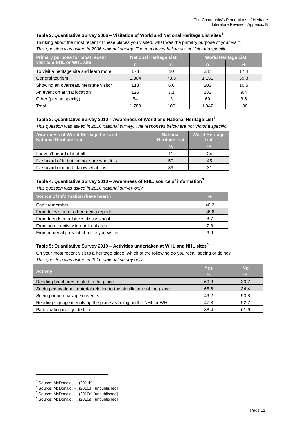#### <span id="page-12-0"></span>**Table 2: Quantitative Survey 2006 – Visitation of World and National Heritage List sites[3](#page-12-4)**

Thinking about the most recent of these places you visited, what was the primary purpose of your visit? *This question was asked in 2006 national survey. The responses below are not Victoria specific.*

| Primary purpose for most recent         |       | <b>National Heritage List</b> | <b>World Heritage List</b> |      |  |
|-----------------------------------------|-------|-------------------------------|----------------------------|------|--|
| visit to a NHL or WHL site              |       |                               |                            |      |  |
| To visit a heritage site and learn more | 178   | 10                            | 337                        | 17.4 |  |
| General tourism                         | 1.304 | 73.3                          | 1,151                      | 59.3 |  |
| Showing an overseas/interstate visitor  | 118   | 6.6                           | 203                        | 10.5 |  |
| An event on at that location            | 126   | 7.1                           | 182                        | 9.4  |  |
| Other (please specify)                  | 54    |                               | 69                         | 3.6  |  |
| Total                                   | 1.780 | 100                           | 1.942                      | 100  |  |

#### <span id="page-12-1"></span>**Table 3: Quantitative Survey 2010 – Awareness of World and National Heritage List[4](#page-12-5)**

*This question was asked in 2010 national survey. The responses below are not Victoria specific.*

| <b>Awareness of World Heritage List and</b><br>National Heritage List | <b>National</b><br><b>Heritage List</b> | <b>World Heritage</b><br><b>List</b> |
|-----------------------------------------------------------------------|-----------------------------------------|--------------------------------------|
|                                                                       | У.                                      | ν.                                   |
| I haven't heard of it at all                                          | 11                                      | 24                                   |
| I've heard of it, but I'm not sure what it is                         | 50                                      | 45                                   |
| I've heard of it and I know what it is                                | 39                                      | 31                                   |

#### <span id="page-12-2"></span>**Table 4: Quantitative Survey 2010 – Awareness of NHL: source of information[5](#page-12-6)**

*This question was asked in 2010 national survey only.*

| Source of Information (have heard)          | ℅    |
|---------------------------------------------|------|
| Can't remember                              | 40.2 |
| From television or other media reports      | 36.6 |
| From friends of relatives discussing it     | 8.7  |
| From some activity in our local area        | 7.8  |
| From material present at a site you visited | 6.6  |

#### <span id="page-12-3"></span>**Table 5: Quantitative Survey 2010 – Activities undertaken at WHL and NHL sites[6](#page-12-7)**

On your most recent visit to a heritage place, which of the following do you recall seeing or doing? *This question was asked in 2010 national survey only.*

| <b>Activity</b>                                                       | <b>Yes</b><br>$\frac{0}{2}$ | <b>No</b><br>ΤУ. |
|-----------------------------------------------------------------------|-----------------------------|------------------|
| Reading brochures related to the place                                | 69.3                        | 30.7             |
| Seeing educational material relating to the significance of the place | 65.6                        | 34.4             |
| Seeing or purchasing souvenirs                                        | 49.2                        | 50.8             |
| Reading signage identifying the place as being on the NHL or WHL      | 47.3                        | 52.7             |
| Participating in a guided tour                                        | 38.4                        | 61.6             |

<span id="page-12-5"></span><span id="page-12-4"></span><sup>&</sup>lt;sup>3</sup> Source: McDonald, H. (2011b)<br>
<sup>4</sup> Source: McDonald, H. (2010a) [unpublished]<br>
<sup>5</sup> Source: McDonald, H. (2010a) [unpublished]<br>
<sup>6</sup> Source: McDonald, H. (2010a) [unpublished]

<span id="page-12-7"></span><span id="page-12-6"></span>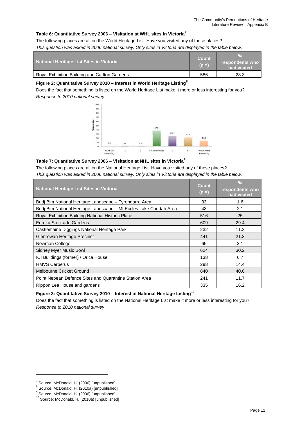#### <span id="page-13-2"></span>**Table 6: Quantitative Survey 2006 – Visitation at WHL sites in Victoria[7](#page-13-4)**

The following places are all on the World Heritage List. Have you visited any of these places?

*This question was asked in 2006 national survey. Only sites in Victoria are displayed in the table below.* 

| National Heritage List Sites in Victoria      | Count<br>$(n = )$ | respondents who<br>had visited |
|-----------------------------------------------|-------------------|--------------------------------|
| Royal Exhibition Building and Carlton Gardens | 586               | 28.3                           |

#### <span id="page-13-0"></span>**Figure 2: Quantitative Survey 2010 – Interest in World Heritage Listing[8](#page-13-5)**

Does the fact that something is listed on the World Heritage List make it more or less interesting for you? *Response to 2010 national survey*



#### <span id="page-13-3"></span>**Table 7: Quantitative Survey 2006 – Visitation at NHL sites in Victoria[9](#page-13-6)**

The following places are all on the National Heritage List. Have you visited any of these places? *This question was asked in 2006 national survey. Only sites in Victoria are displayed in the table below.* 

| <b>National Heritage List Sites in Victoria</b>                   | <b>Count</b><br>$(n =)$ | $\frac{0}{2}$<br>respondents who<br>had visited |
|-------------------------------------------------------------------|-------------------------|-------------------------------------------------|
| Budj Bim National Heritage Landscape - Tyrendarra Area            | 33                      | 1.6                                             |
| Budj Bim National Heritage Landscape - Mt Eccles Lake Condah Area | 43                      | 2.1                                             |
| Royal Exhibition Building National Historic Place                 | 516                     | 25                                              |
| Eureka Stockade Gardens                                           | 609                     | 29.4                                            |
| Castlemaine Diggings National Heritage Park                       | 232                     | 11.2                                            |
| Glenrowan Heritage Precinct                                       | 441                     | 21.3                                            |
| Newman College                                                    | 65                      | 3.1                                             |
| Sidney Myer Music Bowl                                            | 624                     | 30.2                                            |
| ICI Buildings (former) / Orica House                              | 138                     | 6.7                                             |
| <b>HMVS Cerberus</b>                                              | 298                     | 14.4                                            |
| Melbourne Cricket Ground                                          | 840                     | 40.6                                            |
| Point Nepean Defence Sites and Quarantine Station Area            | 241                     | 11.7                                            |
| Rippon Lea House and gardens                                      | 335                     | 16.2                                            |

<span id="page-13-1"></span>**Figure 3: Quantitative Survey 2010 – Interest in National Heritage Listing[10](#page-13-7)**

Does the fact that something is listed on the National Heritage List make it more or less interesting for you? *Response to 2010 national survey*

<span id="page-13-5"></span><span id="page-13-4"></span><sup>&</sup>lt;sup>7</sup> Source: McDonald, H. (2006) [unpublished]<br>
<sup>8</sup> Source: McDonald, H. (2010a) [unpublished]<br>
<sup>9</sup> Source: McDonald, H. (2006) [unpublished]<br>
<sup>10</sup> Source: McDonald, H. (2010a) [unpublished]

<span id="page-13-6"></span>

<span id="page-13-7"></span>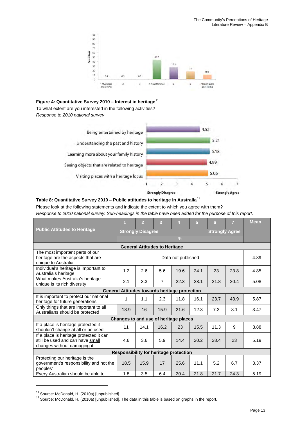

#### <span id="page-14-0"></span>**Figure 4: Quantitative Survey 2010 – Interest in heritage**[11](#page-14-2)

To what extent are you interested in the following activities? *Response to 2010 national survey*



#### <span id="page-14-1"></span>**Table 8: Quantitative Survey 2010 – Public attitudes to heritage in Australia**[12](#page-14-3)

Please look at the following statements and indicate the extent to which you agree with them?

*Response to 2010 national survey. Sub-headings in the table have been added for the purpose of this report.*

|                                                                                                            | и    | $\overline{2}$                                    | 3              | 4                                             | 5    | 6    | 7    | <b>Mean</b> |  |  |  |  |
|------------------------------------------------------------------------------------------------------------|------|---------------------------------------------------|----------------|-----------------------------------------------|------|------|------|-------------|--|--|--|--|
| <b>Public Attitudes to Heritage</b>                                                                        |      | <b>Strongly Disagree</b><br><b>Strongly Agree</b> |                |                                               |      |      |      |             |  |  |  |  |
|                                                                                                            |      | $\frac{0}{0}$                                     |                |                                               |      |      |      |             |  |  |  |  |
| <b>General Attitudes to Heritage</b>                                                                       |      |                                                   |                |                                               |      |      |      |             |  |  |  |  |
| The most important parts of our<br>heritage are the aspects that are                                       |      |                                                   |                | Data not published                            |      |      |      | 4.89        |  |  |  |  |
| unique to Australia<br>Individual's heritage is important to                                               |      |                                                   |                |                                               |      |      |      |             |  |  |  |  |
| Australia's heritage                                                                                       | 1.2  | 2.6                                               | 5.6            | 19.6                                          | 24.1 | 23   | 23.8 | 4.85        |  |  |  |  |
| What makes Australia's heritage<br>unique is its rich diversity                                            | 2.1  | 3.3                                               | $\overline{7}$ | 22.3                                          | 23.1 | 21.8 | 20.4 | 5.08        |  |  |  |  |
|                                                                                                            |      |                                                   |                | General Attitudes towards heritage protection |      |      |      |             |  |  |  |  |
| It is important to protect our national<br>heritage for future generations                                 | 1    | 1.1                                               | 2.3            | 11.8                                          | 16.1 | 23.7 | 43.9 | 5.87        |  |  |  |  |
| Only things that are important to all<br>Australians should be protected                                   | 18.9 | 16                                                | 15.9           | 21.6                                          | 12.3 | 7.3  | 8.1  | 3.47        |  |  |  |  |
|                                                                                                            |      |                                                   |                | Changes to and use of heritage places         |      |      |      |             |  |  |  |  |
| If a place is heritage protected it<br>shouldn't change at all or be used                                  | 11   | 14.1                                              | 16.2           | 23                                            | 15.5 | 11.3 | 9    | 3.88        |  |  |  |  |
| If a place is heritage protected it can<br>still be used and can have small<br>changes without damaging it | 4.6  | 3.6                                               | 5.9            | 14.4                                          | 20.2 | 28.4 | 23   | 5.19        |  |  |  |  |
|                                                                                                            |      |                                                   |                | Responsibility for heritage protection        |      |      |      |             |  |  |  |  |
| Protecting our heritage is the<br>government's responsibility and not the<br>peoples'                      | 18.5 | 15.9                                              | 17             | 25.6                                          | 11.1 | 5.2  | 6.7  | 3.37        |  |  |  |  |
| Every Australian should be able to                                                                         | 1.8  | 3.5                                               | 6.4            | 20.4                                          | 21.8 | 21.7 | 24.3 | 5.19        |  |  |  |  |

<span id="page-14-3"></span>

<span id="page-14-2"></span><sup>&</sup>lt;sup>11</sup> Source: McDonald, H. (2010a) [unpublished].<br><sup>12</sup> Source: McDonald, H. (2010a) [unpublished]. The data in this table is based on graphs in the report.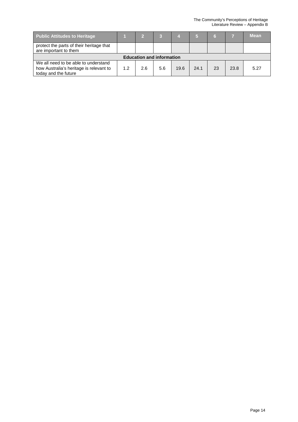| <b>Public Attitudes to Heritage</b>                                                                     |     | 5   | D   |      |      |    |      | <b>Mean</b> |  |  |  |  |
|---------------------------------------------------------------------------------------------------------|-----|-----|-----|------|------|----|------|-------------|--|--|--|--|
| protect the parts of their heritage that<br>are important to them                                       |     |     |     |      |      |    |      |             |  |  |  |  |
| <b>Education and information</b>                                                                        |     |     |     |      |      |    |      |             |  |  |  |  |
| We all need to be able to understand<br>how Australia's heritage is relevant to<br>today and the future | 1.2 | 2.6 | 5.6 | 19.6 | 24.1 | 23 | 23.8 | 5.27        |  |  |  |  |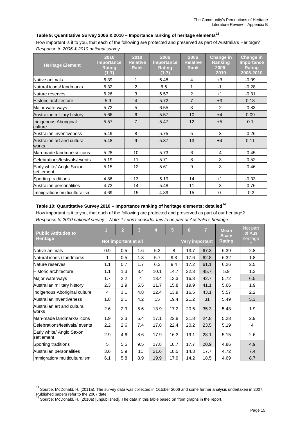#### <span id="page-16-0"></span>**Table 9: Quantitative Survey 2006 & 2010 – Importance ranking of heritage elements[13](#page-16-2)**

How important is it to you, that each of the following are protected and preserved as part of Australia's Heritage? *Response to 2006 & 2010 national survey. .*

| <b>Heritage Element</b>                | 2010<br>Importance<br><b>Rating</b><br>$(1-7)$ | 2010<br><b>Relative</b><br><b>Rank</b> | 2006<br>Importance<br>Rating<br>$(1-7)$ | 2006<br><b>Relative</b><br><b>Rank</b> | <b>Change in</b><br>Ranking<br>2006-<br>2010 | <b>Change in</b><br><b>Importance</b><br><b>Rating</b><br>2006-2010 |
|----------------------------------------|------------------------------------------------|----------------------------------------|-----------------------------------------|----------------------------------------|----------------------------------------------|---------------------------------------------------------------------|
| Native animals                         | 6.39                                           | 1                                      | 6.48                                    | 4                                      | $+3$                                         | $-0.09$                                                             |
| Natural icons/ landmarks               | 6.32                                           | 2                                      | 6.6                                     | 1                                      | $-1$                                         | $-0.28$                                                             |
| Nature reserves                        | 6.26                                           | 3                                      | 6.57                                    | 2                                      | $+1$                                         | $-0.31$                                                             |
| Historic architecture                  | 5.9                                            | $\overline{4}$                         | 5.72                                    | $\overline{7}$                         | $+3$                                         | 0.18                                                                |
| Major waterways                        | 5.72                                           | 5                                      | 6.55                                    | 3                                      | $-2$                                         | $-0.83$                                                             |
| Australian military history            | 5.66                                           | 6                                      | 5.57                                    | 10                                     | $+4$                                         | 0.09                                                                |
| Indigenous Aboriginal<br>culture       | 5.57                                           | $\overline{7}$                         | 5.47                                    | 12                                     | $+5$                                         | 0.1                                                                 |
| Australian inventiveness               | 5.49                                           | 8                                      | 5.75                                    | 5                                      | $-3$                                         | $-0.26$                                                             |
| Australian art and cultural<br>works   | 5.48                                           | 9                                      | 5.37                                    | 13                                     | $+4$                                         | 0.11                                                                |
| Man-made landmarks/icons               | 5.28                                           | 10                                     | 5.73                                    | 6                                      | $-4$                                         | $-0.45$                                                             |
| Celebrations/festivals/events          | 5.19                                           | 11                                     | 5.71                                    | 8                                      | $-3$                                         | $-0.52$                                                             |
| Early white/ Anglo Saxon<br>settlement | 5.15                                           | 12                                     | 5.61                                    | 9                                      | $-3$                                         | $-0.46$                                                             |
| Sporting traditions                    | 4.86                                           | 13                                     | 5.19                                    | 14                                     | $+1$                                         | $-0.33$                                                             |
| Australian personalities               | 4.72                                           | 14                                     | 5.48                                    | 11                                     | $-3$                                         | $-0.76$                                                             |
| Immigration/ multiculturalism          | 4.69                                           | 15                                     | 4.89                                    | 15                                     | 0                                            | $-0.2$                                                              |

#### <span id="page-16-1"></span>**Table 10: Quantitative Survey 2010 – Importance ranking of heritage elements: detailed[14](#page-16-3)**

How important is it to you, that each of the following are protected and preserved as part of our heritage? *Response to 2010 national survey Note: \* I don't consider this to be part of Australia's heritage*

| <b>Public Attitudes to</b>             | $\overline{\mathbf{1}}$ | 3<br>5<br>$\overline{7}$<br>$\overline{2}$<br>$\overline{4}$<br>6 |     |      |      |                       |      | <b>Mean</b>                   | Not part<br>of Aus |
|----------------------------------------|-------------------------|-------------------------------------------------------------------|-----|------|------|-----------------------|------|-------------------------------|--------------------|
| <b>Heritage</b>                        |                         | Not important at all                                              |     |      |      | <b>Very important</b> |      | <b>Scale</b><br><b>Rating</b> | heritage           |
| Native animals                         | 0.9                     | 0.5                                                               | 1.6 | 5.2  | 8    | 13.7                  | 67.3 | 6.39                          | 2.8                |
| Natural icons / landmarks              | 1                       | 0.5                                                               | 1.3 | 5.7  | 9.3  | 17.6                  | 62.8 | 6.32                          | 1.8                |
| Nature reserves                        | 1.1                     | 0.7                                                               | 1.7 | 6.3  | 9.4  | 17.2                  | 61.1 | 6.26                          | 2.5                |
| Historic architecture                  | 1.1                     | 1.3                                                               | 3.4 | 10.1 | 14.7 | 22.3                  | 45.7 | 5.9                           | 1.3                |
| Major waterways                        | 1.7                     | 2.2                                                               | 4   | 13.4 | 13.3 | 16.3                  | 42.7 | 5.72                          | 6.5                |
| Australian military history            | 2.3                     | 1.9                                                               | 5.5 | 11.7 | 15.8 | 19.9                  | 41.1 | 5.66                          | 1.9                |
| Indigenous Aboriginal culture          | 4                       | 3.1                                                               | 4.8 | 12.4 | 13.9 | 16.5                  | 43.1 | 5.57                          | 2.2                |
| Australian inventiveness               | 1.8                     | 2.1                                                               | 4.2 | 15   | 19.4 | 21.2                  | 31   | 5.49                          | 5.3                |
| Australian art and cultural<br>works   | 2.6                     | 2.9                                                               | 5.6 | 13.9 | 17.2 | 20.5                  | 35.3 | 5.48                          | 1.9                |
| Man-made landmarks/icons               | 1.9                     | 2.3                                                               | 6.4 | 17.1 | 22.8 | 21.8                  | 24.8 | 5.28                          | 2.9                |
| Celebrations/festivals/events          | 2.2                     | 2.6                                                               | 7.4 | 17.8 | 22.4 | 20.2                  | 23.5 | 5.19                          | 4                  |
| Early white/ Anglo Saxon<br>settlement | 2.9                     | 4.6                                                               | 8.6 | 17.9 | 16.3 | 19.1                  | 28.1 | 5.15                          | 2.6                |
| Sporting traditions                    | 5                       | 5.5                                                               | 9.5 | 17.8 | 18.7 | 17.7                  | 20.9 | 4.86                          | 4.9                |
| Australian personalities               | 3.6                     | 5.9                                                               | 11  | 21.6 | 18.5 | 14.3                  | 17.7 | 4.72                          | 7.4                |
| Immigration/ multiculturalism          | 6.1                     | 5.8                                                               | 8.9 | 19.9 | 17.9 | 14.2                  | 18.5 | 4.69                          | 8.7                |

<span id="page-16-2"></span><sup>&</sup>lt;sup>13</sup> Source: McDonald, H. (2011a). The survey data was collected in October 2006 and some further analysis undertaken in 2007.

<span id="page-16-3"></span>Published papers refer to the 2007 date.<br><sup>14</sup> Source: McDonald, H. (2010a) [unpublished]. The data in this table based on from graphs in the report.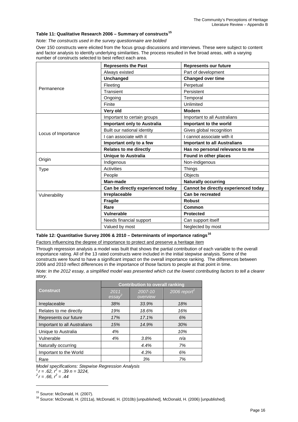#### <span id="page-17-0"></span>**Table 11: Qualitative Research 2006 – Summary of constructs[15](#page-17-2)**

*Note: The constructs used in the survey questionnaire are bolded*

Over 150 constructs were elicited from the focus group discussions and interviews. These were subject to content and factor analysis to identify underlying similarities. The process resulted in five broad areas, with a varying number of constructs selected to best reflect each area.

|                     | <b>Represents the Past</b>         | <b>Represents our future</b>         |  |  |  |  |
|---------------------|------------------------------------|--------------------------------------|--|--|--|--|
|                     | Always existed                     | Part of development                  |  |  |  |  |
|                     | <b>Unchanged</b>                   | <b>Changed over time</b>             |  |  |  |  |
| Permanence          | Fleeting                           | Perpetual                            |  |  |  |  |
|                     | Transient                          | Persistent                           |  |  |  |  |
|                     | Ongoing                            | Temporal                             |  |  |  |  |
|                     | Finite                             | Unlimited                            |  |  |  |  |
|                     | Very old                           | <b>Modern</b>                        |  |  |  |  |
|                     | Important to certain groups        | Important to all Australians         |  |  |  |  |
|                     | <b>Important only to Australia</b> | Important to the world               |  |  |  |  |
|                     | Built our national identity        | Gives global recognition             |  |  |  |  |
| Locus of Importance | I can associate with it            | I cannot associate with it           |  |  |  |  |
|                     | Important only to a few            | <b>Important to all Australians</b>  |  |  |  |  |
|                     |                                    |                                      |  |  |  |  |
|                     | <b>Relates to me directly</b>      | Has no personal relevance to me      |  |  |  |  |
|                     | <b>Unique to Australia</b>         | Found in other places                |  |  |  |  |
| Origin              | Indigenous                         | Non-indigenous                       |  |  |  |  |
| <b>Type</b>         | Activities                         | Things                               |  |  |  |  |
|                     | People                             | <b>Objects</b>                       |  |  |  |  |
|                     | Man-made                           | <b>Naturally occurring</b>           |  |  |  |  |
|                     | Can be directly experienced today  | Cannot be directly experienced today |  |  |  |  |
| Vulnerability       | Irreplaceable                      | Can be recreated                     |  |  |  |  |
|                     | Fragile                            | <b>Robust</b>                        |  |  |  |  |
|                     | Rare                               | Common                               |  |  |  |  |
|                     | Vulnerable                         | <b>Protected</b>                     |  |  |  |  |
|                     | Needs financial support            | Can support itself                   |  |  |  |  |

#### <span id="page-17-1"></span>**Table 12: Quantitative Survey 2006 & 2010 – Determinants of importance ratings[16](#page-17-3)**

Factors influencing the degree of importance to protect and preserve a heritage item

Through regression analysis a model was built that shows the partial contribution of each variable to the overall importance rating. All of the 13 rated constructs were included in the initial stepwise analysis. Some of the constructs were found to have a significant impact on the overall importance ranking. The differences between 2006 and 2010 reflect differences in the importance of those factors to people at that point in time.

*Note: In the 2012 essay, a simplified model was presented which cut the lowest contributing factors to tell a clearer story.*

|                              | <b>Contribution to overall ranking</b> |                     |             |  |  |  |  |  |  |
|------------------------------|----------------------------------------|---------------------|-------------|--|--|--|--|--|--|
| <b>Construct</b>             | 2011<br>essay                          | 2007-10<br>overview | 2006 report |  |  |  |  |  |  |
| Irreplaceable                | 38%                                    | 33.9%               | 18%         |  |  |  |  |  |  |
| Relates to me directly       | 19%                                    | 18.6%               | 16%         |  |  |  |  |  |  |
| Represents our future        | 17%                                    | 17.1%               | 6%          |  |  |  |  |  |  |
| Important to all Australians | 15%                                    | 14.9%               | 30%         |  |  |  |  |  |  |
| Unique to Australia          | 4%                                     |                     | 10%         |  |  |  |  |  |  |
| Vulnerable                   | 4%                                     | 3.8%                | n/a         |  |  |  |  |  |  |
| Naturally occurring          |                                        | 4.4%                | 7%          |  |  |  |  |  |  |
| Important to the World       |                                        | 4.3%                | 6%          |  |  |  |  |  |  |
| Rare                         |                                        | 3%                  | 7%          |  |  |  |  |  |  |

*Model specifications: Stepwise Regression Analysis*

 $1r = .62$ ,  $r^2 = .39$  n = 3224,<br>  $2r = .66$ ,  $r^2 = .44$ 

<span id="page-17-3"></span>

<span id="page-17-2"></span><sup>&</sup>lt;sup>15</sup> Source: McDonald, H. (2007).<br><sup>16</sup> Source: McDonald, H. (2011a), McDonald, H. (2010b) [unpublished], McDonald, H. (2006) [unpublished].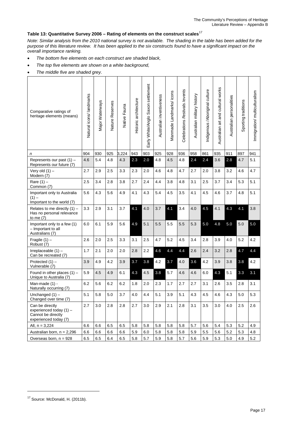### <span id="page-18-0"></span>**Table 13: Quantitative Survey 2006 – Rating of elements on the construct scales**[17](#page-18-1)

*Note: Similar analysis from the 2010 national survey is not available. The shading in the table has been added for the purpose of this literature review. It has been applied to the six constructs found to have a significant impact on the overall importance ranking.* 

- *The bottom five elements on each construct are shaded black,*
- *The top five elements are shown on a white background,*
- *The middle five are shaded grey.*

| Comparative ratings of<br>heritage elements (means)                                         | Natural icons/ landmarks | Major Waterways | Reserves<br>Nature I | Native Fauna | Historic architecture | Saxon settlement<br>Early White/Anglo | Australian inventiveness | Manmade Landmarks/ icons | Celebrations /festivals /events | Australian military history | Indigenous /Aboriginal culture | Australian art and cultural works | personalities<br>Australian | Sporting traditions | mmigration/ multiculturalism |
|---------------------------------------------------------------------------------------------|--------------------------|-----------------|----------------------|--------------|-----------------------|---------------------------------------|--------------------------|--------------------------|---------------------------------|-----------------------------|--------------------------------|-----------------------------------|-----------------------------|---------------------|------------------------------|
| n                                                                                           | 904                      | 930             | 925                  | 3,224        | 943                   | 903                                   | 925                      | 928                      | 936                             | 958                         | 861                            | 935                               | 911                         | 897                 | 941                          |
| Represents our past (1) -<br>Represents our future (7)                                      | 4.6                      | 5.4             | 4.8                  | 4.3          | 2.3                   | 2.0                                   | 4.8                      | 4.5                      | 4.8                             | 2.4                         | 2.4                            | 3.6                               | 2.8                         | 4.7                 | 5.1                          |
| Very old $(1)$ -<br>Modern (7)                                                              | 2.7                      | 2.9             | 2.5                  | 3.3          | 2.3                   | 2.0                                   | 4.6                      | 4.8                      | 4.7                             | 2.7                         | 2.0                            | 3.8                               | 3.2                         | 4.6                 | 4.7                          |
| Rare $(1)$ –<br>Common (7)                                                                  | 2.5                      | 3.4             | 2.8                  | 3.8          | 2.7                   | 2.4                                   | 4.4                      | 3.8                      | 4.8                             | 3.1                         | 2.5                            | 3.7                               | 3.4                         | 5.3                 | 5.1                          |
| Important only to Australia<br>$(1) -$<br>Important to the world (7)                        | 5.6                      | 4.3             | 5.6                  | 4.9          | 4.1                   | 4.3                                   | 5.4                      | 4.5                      | 3.5                             | 4.1                         | 4.5                            | 4.6                               | 3.7                         | 4.8                 | 5.1                          |
| Relates to me directly $(1)$ -<br>Has no personal relevance<br>to me (7)                    | 3.3                      | 2.9             | 3.1                  | 3.7          | 4.1                   | 4.0                                   | 3.7                      | 4.1                      | 3.4                             | 4.0                         | 4.5                            | 4.1                               | 4.3                         | 4.1                 | 3.8                          |
| Important only to a few (1)<br>- Important to all<br>Australians (7)                        | 6.0                      | 6.1             | 5.9                  | 5.6          | 4.9                   | 5.1                                   | 5.5                      | 5.5                      | 5.5                             | 5.3                         | 5.0                            | 4.8                               | 5.0                         | 5.0                 | 5.0                          |
| Fragile $(1)$ –<br>Robust (7)                                                               | 2.6                      | 2.0             | 2.5                  | 3.3          | 3.1                   | 2.5                                   | 4.7                      | 5.2                      | 4.5                             | 3.4                         | 2.8                            | 3.9                               | 4.0                         | 5.2                 | 4.2                          |
| Irreplaceable $(1)$ -<br>Can be recreated (7)                                               | 1.7                      | 2.1             | 2.0                  | 2.0          | 2.8                   | 2.2                                   | 4.6                      | 4.4                      | 4.4                             | 2.6                         | 2.4                            | 3.2                               | 2.8                         | 4.7                 | 4.4                          |
| Protected $(1)$ –<br>Vulnerable (7)                                                         | 3.9                      | 4.9             | 4.2                  | 3.9          | 3.7                   | 3.8                                   | 4.2                      | 3.7                      | 4.0                             | 3.6                         | 4.2                            | 3.9                               | 3.8                         | 3.8                 | 4.2                          |
| Found in other places $(1)$ –<br>Unique to Australia (7)                                    | 5.9                      | 4.5             | 4.9                  | 6.1          | 4.3                   | 4.5                                   | 3.8                      | 5.7                      | 4.6                             | 4.6                         | 6.0                            | 4.3                               | 5.1                         | 3.3                 | 3.1                          |
| Man-made (1) -<br>Naturally occurring (7)                                                   | 6.2                      | 5.6             | 6.2                  | 6.2          | 1.8                   | 2.0                                   | 2.3                      | 1.7                      | 2.7                             | 2.7                         | 3.1                            | 2.6                               | 3.5                         | 2.8                 | 3.1                          |
| Unchanged $(1)$ -<br>Changed over time (7)                                                  | 5.1                      | 5.8             | 5.0                  | 3.7          | 4.0                   | 4.4                                   | 5.1                      | 3.9                      | 5.1                             | 4.3                         | 4.5                            | 4.6                               | 4.3                         | 5.0                 | 5.3                          |
| Can be directly<br>experienced today $(1)$ -<br>Cannot be directly<br>experienced today (7) | 2.7                      | 3.0             | 2.8                  | 2.8          | 2.7                   | 3.0                                   | 2.9                      | 2.1                      | 2.8                             | 3.1                         | 3.5                            | 3.0                               | 4.0                         | 2.5                 | 2.6                          |
| All, $n = 3,224$                                                                            | 6.6                      | 6.6             | 6.5                  | 6.5          | 5.8                   | 5.8                                   | 5.8                      | 5.8                      | 5.8                             | 5.7                         | 5.6                            | 5.4                               | 5.3                         | 5.2                 | 4.9                          |
| Australian born, $n = 2,296$                                                                | 6.6                      | 6.6             | 6.6                  | 6.6          | 5.9                   | 6.0                                   | 5.8                      | 5.8                      | 5.8                             | 5.9                         | 5.5                            | 5.6                               | 5.2                         | 5.3                 | 4.8                          |
| Overseas born, $n = 928$                                                                    | 6.5                      | 6.5             | 6.4                  | 6.5          | 5.8                   | 5.7                                   | 5.9                      | 5.8                      | 5.7                             | 5.6                         | 5.9                            | 5.3                               | 5.0                         | 4.9                 | 5.2                          |

**.** 

<span id="page-18-1"></span> $17$  Source: McDonald, H. (2011b).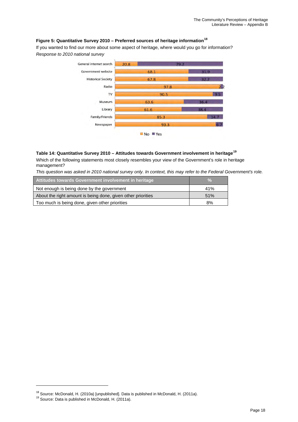#### <span id="page-19-0"></span>**Figure 5: Quantitative Survey 2010 – Preferred sources of heritage information[18](#page-19-2)**

If you wanted to find our more about some aspect of heritage, where would you go for information? *Response to 2010 national survey*



#### <span id="page-19-1"></span>**Table 14: Quantitative Survey 2010 – Attitudes towards Government involvement in heritage[19](#page-19-3)**

Which of the following statements most closely resembles your view of the Government's role in heritage management?

*This question was asked in 2010 national survey only. In context, this may refer to the Federal Government's role.* 

| Attitudes towards Government involvement in heritage         | $\frac{0}{2}$ |
|--------------------------------------------------------------|---------------|
| Not enough is being done by the government                   | 41%           |
| About the right amount is being done, given other priorities | 51%           |
| Too much is being done, given other priorities               | 8%            |

<span id="page-19-2"></span><sup>&</sup>lt;sup>18</sup> Source: McDonald, H. (2010a) [unpublished]. Data is published in McDonald, H. (2011a).<br><sup>19</sup> Source: Data is published in McDonald, H. (2011a).

<span id="page-19-3"></span>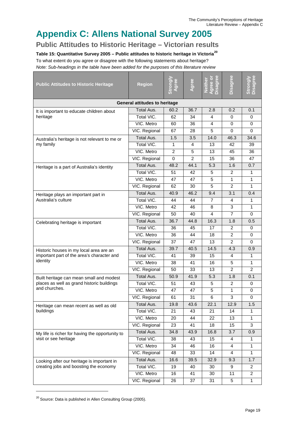# <span id="page-20-0"></span>**Appendix C: Allens National Survey 2005**

<span id="page-20-1"></span>**Public Attitudes to Historic Heritage – Victorian results**

<span id="page-20-2"></span>**Table 15: Quantitative Survey 2005 – Public attitudes to historic heritage in Victoria[20](#page-20-3)**

To what extent do you agree or disagree with the following statements about heritage?

*Note: Sub-headings in the table have been added for the purposes of this literature review*

T

| <b>Public Attitudes to Historic Heritage</b>    | <b>Region</b>     | Strongly       | Agree          | Agree or<br>Disagree<br><b>Neither</b> | Disagree       | <b>Disagree</b><br>Strongly |  |  |  |
|-------------------------------------------------|-------------------|----------------|----------------|----------------------------------------|----------------|-----------------------------|--|--|--|
| <b>General attitudes to heritage</b>            |                   |                |                |                                        |                |                             |  |  |  |
| It is important to educate children about       | Total Aus.        | 60.2           | 36.7           | 2.8                                    | 0.2            | 0.1                         |  |  |  |
| heritage                                        | Total VIC.        | 62             | 34             | 4                                      | 0              | 0                           |  |  |  |
|                                                 | VIC. Metro        | 60             | 36             | 4                                      | $\mathbf 0$    | $\mathbf 0$                 |  |  |  |
|                                                 | VIC. Regional     | 67             | 28             | 5                                      | $\mathbf 0$    | $\Omega$                    |  |  |  |
| Australia's heritage is not relevant to me or   | <b>Total Aus.</b> | 1.5            | 3.5            | 14.0                                   | 46.3           | 34.6                        |  |  |  |
| my family                                       | Total VIC.        | 1              | 4              | 13                                     | 42             | 39                          |  |  |  |
|                                                 | VIC. Metro        | $\overline{2}$ | 5              | 13                                     | 45             | 36                          |  |  |  |
|                                                 | VIC. Regional     | $\Omega$       | $\overline{2}$ | 15                                     | 36             | 47                          |  |  |  |
| Heritage is a part of Australia's identity      | Total Aus.        | 48.2           | 44.1           | 5.3                                    | 1.6            | 0.7                         |  |  |  |
|                                                 | Total VIC.        | 51             | 42             | 5                                      | 2              | 1                           |  |  |  |
|                                                 | VIC. Metro        | 47             | 47             | 5                                      | $\mathbf{1}$   | $\mathbf{1}$                |  |  |  |
|                                                 | VIC. Regional     | 62             | 30             | 5                                      | $\overline{2}$ | $\mathbf{1}$                |  |  |  |
| Heritage plays an important part in             | Total Aus.        | 40.9           | 46.2           | 9.4                                    | 3.1            | 0.4                         |  |  |  |
| Australia's culture                             | Total VIC.        | 44             | 44             | 7                                      | 4              | 1                           |  |  |  |
|                                                 | VIC. Metro        | 42             | 46             | 8                                      | 3              | 1                           |  |  |  |
|                                                 | VIC. Regional     | 50             | 40             | 4                                      | $\overline{7}$ | $\Omega$                    |  |  |  |
| Celebrating heritage is important               | <b>Total Aus.</b> | 36.7           | 44.8           | 16.3                                   | 1.8            | 0.5                         |  |  |  |
|                                                 | Total VIC.        | 36             | 45             | 17                                     | $\overline{2}$ | $\Omega$                    |  |  |  |
|                                                 | VIC. Metro        | 36             | 44             | 18                                     | $\overline{c}$ | 0                           |  |  |  |
|                                                 | VIC. Regional     | 37             | 47             | 13                                     | $\overline{2}$ | 0                           |  |  |  |
| Historic houses in my local area are an         | <b>Total Aus.</b> | 39.7           | 40.5           | 14.5                                   | 4.3            | $\overline{0.9}$            |  |  |  |
| important part of the area's character and      | Total VIC.        | 41             | 39             | 15                                     | 4              | 1                           |  |  |  |
| identity                                        | VIC. Metro        | 38             | 41             | 16                                     | 5              | 1                           |  |  |  |
|                                                 | VIC. Regional     | 50             | 33             | 13                                     | $\overline{2}$ | $\overline{2}$              |  |  |  |
| Built heritage can mean small and modest        | Total Aus.        | 50.9           | 41.9           | 5.3                                    | 1.8            | 0.1                         |  |  |  |
| places as well as grand historic buildings      | Total VIC.        | 51             | 43             | 5                                      | 2              | 0                           |  |  |  |
| and churches.                                   | VIC. Metro        | 47             | 47             | 5                                      | 1              | 0                           |  |  |  |
|                                                 | VIC. Regional     | 61             | 31             | 6                                      | 3              | $\mathbf 0$                 |  |  |  |
| Heritage can mean recent as well as old         | Total Aus.        | 19.8           | 43.6           | 22.1                                   | 12.9           | 1.5                         |  |  |  |
| buildings                                       | Total VIC.        | 21             | 43             | 21                                     | 14             | 1                           |  |  |  |
|                                                 | VIC. Metro        | 20             | 44             | 22                                     | 13             | $\mathbf{1}$                |  |  |  |
|                                                 | VIC. Regional     | 23             | 41             | 18                                     | 15             | 3                           |  |  |  |
| My life is richer for having the opportunity to | Total Aus.        | 34.8           | 43.9           | 16.8                                   | 3.7            | 0.9                         |  |  |  |
| visit or see heritage                           | Total VIC.        | 38             | 43             | 15                                     | 4              | 1                           |  |  |  |
|                                                 | VIC. Metro        | 34             | 46             | 16                                     | $\overline{4}$ | $\mathbf{1}$                |  |  |  |
|                                                 | VIC. Regional     | 48             | 33             | 14                                     | 4              | 1                           |  |  |  |
| Looking after our heritage is important in      | Total Aus.        | 16.6           | 39.5           | 32.9                                   | 9.3            | 1.7                         |  |  |  |
| creating jobs and boosting the economy          | Total VIC.        | 19             | 40             | 30                                     | 9              | $\overline{2}$              |  |  |  |
|                                                 | VIC. Metro        | 16             | 41             | 30                                     | 11             | $\overline{2}$              |  |  |  |
|                                                 | VIC. Regional     | 26             | 37             | 31                                     | 5              | 1                           |  |  |  |

<span id="page-20-3"></span> $20$  Source: Data is published in Allen Consulting Group (2005).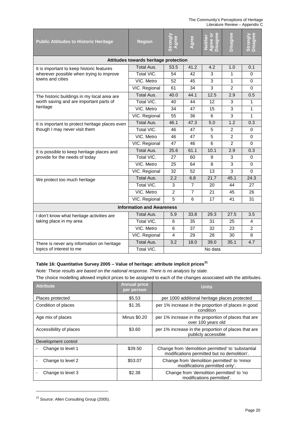| <b>Public Attitudes to Historic Heritage</b>    | <b>Region</b>                         | Strongly<br>Agree | Agree          | Disagree<br>Agree or<br>Neither | <b>Disagree</b> | Disagree<br><b>Strongly</b> |  |  |  |
|-------------------------------------------------|---------------------------------------|-------------------|----------------|---------------------------------|-----------------|-----------------------------|--|--|--|
|                                                 | Attitudes towards heritage protection |                   |                |                                 |                 |                             |  |  |  |
| It is important to keep historic features       | Total Aus.                            | 53.5              | 41.2           | 4.2                             | 1.0             | 0.1                         |  |  |  |
| wherever possible when trying to improve        | Total VIC.                            | 54                | 42             | 3                               | 1               | 0                           |  |  |  |
| towns and cities                                | VIC. Metro                            | 52                | 45             | 3                               | 1               | $\Omega$                    |  |  |  |
|                                                 | VIC. Regional                         | 61                | 34             | 3                               | $\overline{2}$  | 0                           |  |  |  |
| The historic buildings in my local area are     | Total Aus.                            | 40.0              | 44.1           | 12.5                            | 2.9             | 0.5                         |  |  |  |
| worth saving and are important parts of         | Total VIC.                            | 40                | 44             | 12                              | 3               | $\mathbf{1}$                |  |  |  |
| heritage                                        | VIC. Metro                            | 34                | 47             | 15                              | 3               | 1                           |  |  |  |
|                                                 | VIC. Regional                         | 55                | 36             | 6                               | 3               | 1                           |  |  |  |
| It is important to protect heritage places even | <b>Total Aus.</b>                     | 46.1              | 47.3           | 5.0                             | 1.2             | 0.3                         |  |  |  |
| though I may never visit them                   | Total VIC.                            | 46                | 47             | 5                               | $\overline{2}$  | 0                           |  |  |  |
|                                                 | VIC. Metro                            | 46                | 47             | 5                               | $\overline{2}$  | $\mathbf 0$                 |  |  |  |
|                                                 | VIC. Regional                         | 47                | 46             | 6                               | $\overline{2}$  | $\Omega$                    |  |  |  |
| It is possible to keep heritage places and      | <b>Total Aus.</b>                     | 25.6              | 61.1           | 10.1                            | 2.9             | 0.3                         |  |  |  |
| provide for the needs of today                  | Total VIC.                            | 27                | 60             | 9                               | 3               | 0                           |  |  |  |
|                                                 | VIC. Metro                            | 25                | 64             | 8                               | 3               | $\Omega$                    |  |  |  |
|                                                 | VIC. Regional                         | 32                | 52             | 13                              | 3               | $\Omega$                    |  |  |  |
| We protect too much heritage                    | Total Aus.                            | 2.2               | 6.8            | 21.7                            | 45.1            | 24.3                        |  |  |  |
|                                                 | Total VIC.                            | 3                 | 7              | 20                              | 44              | 27                          |  |  |  |
|                                                 | VIC. Metro                            | $\overline{2}$    | $\overline{7}$ | 21                              | 45              | 26                          |  |  |  |
|                                                 | VIC. Regional                         | 5                 | 6              | 17                              | 41              | 31                          |  |  |  |
|                                                 | <b>Information and Awareness</b>      |                   |                |                                 |                 |                             |  |  |  |
| I don't know what heritage activities are       | Total Aus.                            | 5.9               | 33.8           | 29.3                            | 27.5            | 3.5                         |  |  |  |
| taking place in my area                         | Total VIC.                            | 6                 | 35             | 31                              | 25              | $\overline{4}$              |  |  |  |
|                                                 | VIC. Metro                            | 6                 | 37             | 32                              | 23              | 2                           |  |  |  |
|                                                 | VIC. Regional                         | $\overline{4}$    | 29             | 28                              | 30              | 8                           |  |  |  |
| There is never any information on heritage      | <b>Total Aus.</b>                     | 3.2               | 18.0           | 39.0                            | 35.1            | 4.7                         |  |  |  |
| topics of interest to me                        | Total VIC.                            |                   | No data        |                                 |                 |                             |  |  |  |

#### <span id="page-21-0"></span>**Table 16: Quantitative Survey 2005 – Value of heritage: attribute implicit prices[21](#page-21-1)**

*Note: These results are based on the national response. There is no analysis by state.*

The choice modelling allowed implicit prices to be assigned to each of the changes associated with the attributes.

| <b>Attribute</b>        | <b>Annual price</b><br>per person | <b>Units</b>                                                                                      |
|-------------------------|-----------------------------------|---------------------------------------------------------------------------------------------------|
| Places protected        | \$5.53                            | per 1000 additional heritage places protected                                                     |
| Condition of places     | \$1.35                            | per 1% increase in the proportion of places in good<br>condition                                  |
| Age mix of places       | <b>Minus \$0.20</b>               | per 1% increase in the proportion of places that are<br>over 100 years old                        |
| Accessibility of places | \$3.60                            | per 1% increase in the proportion of places that are<br>publicly accessible                       |
| Development control     |                                   |                                                                                                   |
| Change to level 1       | \$39.50                           | Change from 'demolition permitted' to 'substantial<br>modifications permitted but no demolition'. |
| Change to level 2       | \$53.07                           | Change from 'demolition permitted' to 'minor<br>modifications permitted only'.                    |
| Change to level 3       | \$2.38                            | Change from 'demolition permitted' to 'no<br>modifications permitted'.                            |

<span id="page-21-1"></span><sup>&</sup>lt;sup>21</sup> Source: Allen Consulting Group (2005).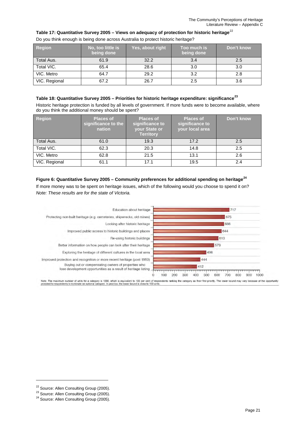#### <span id="page-22-1"></span>**Table 17: Quantitative Survey 2005 – Views on adequacy of protection for historic heritage**[22](#page-22-3)

| <b>Region</b> | No, too little is<br>being done | Yes, about right | Too much is<br>being done | Don't know |
|---------------|---------------------------------|------------------|---------------------------|------------|
| Total Aus.    | 61.9                            | 32.2             | 3.4                       | 2.5        |
| Total VIC.    | 65.4                            | 28.6             | 3.0                       | 3.0        |
| VIC. Metro    | 64.7                            | 29.2             | 3.2                       | 2.8        |
| VIC. Regional | 67.2                            | 26.7             | 2.5                       | 3.6        |

Do you think enough is being done across Australia to protect historic heritage?

#### <span id="page-22-2"></span>**Table 18: Quantitative Survey 2005 – Priorities for historic heritage expenditure: significance[23](#page-22-4)**

Historic heritage protection is funded by all levels of government. If more funds were to become available, where do you think the additional money should be spent?

| <b>Region</b> | <b>Places of</b><br>significance to the<br>nation | <b>Places of</b><br>significance to<br>your State or<br><b>Territory</b> | <b>Places of</b><br>significance to<br>your local area | Don't know |
|---------------|---------------------------------------------------|--------------------------------------------------------------------------|--------------------------------------------------------|------------|
| Total Aus.    | 61.0                                              | 19.3                                                                     | 17.2                                                   | 2.5        |
| Total VIC.    | 62.3                                              | 20.3                                                                     | 14.8                                                   | 2.5        |
| VIC. Metro    | 62.8                                              | 21.5                                                                     | 13.1                                                   | 2.6        |
| VIC. Regional | 61.1                                              | 17.1                                                                     | 19.5                                                   | 2.4        |

#### <span id="page-22-0"></span>**Figure 6: Quantitative Survey 2005 – Community preferences for additional spending on heritage[24](#page-22-5)**

If more money was to be spent on heritage issues, which of the following would you choose to spend it on? *Note: These results are for the state of Victoria.*



und is close to 100

<span id="page-22-4"></span><span id="page-22-3"></span><sup>&</sup>lt;sup>22</sup> Source: Allen Consulting Group (2005).<br><sup>23</sup> Source: Allen Consulting Group (2005).<br><sup>24</sup> Source: Allen Consulting Group (2005).

<span id="page-22-5"></span>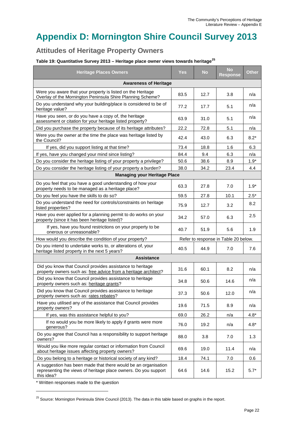# <span id="page-23-0"></span>**Appendix D: Mornington Shire Council Survey 2013**

### <span id="page-23-1"></span>**Attitudes of Heritage Property Owners**

#### <span id="page-23-2"></span>**Table 19: Quantitative Survey 2013 – Heritage place owner views towards heritage[25](#page-23-3)**

| <b>Heritage Places Owners</b>                                                                                                                   | <b>Yes</b> | <b>No</b> | <b>No</b><br><b>Response</b>         | <b>Other</b> |
|-------------------------------------------------------------------------------------------------------------------------------------------------|------------|-----------|--------------------------------------|--------------|
| <b>Awareness of Heritage</b>                                                                                                                    |            |           |                                      |              |
| Were you aware that your property is listed on the Heritage<br>Overlay of the Mornington Peninsula Shire Planning Scheme?                       | 83.5       | 12.7      | 3.8                                  | n/a          |
| Do you understand why your building/place is considered to be of<br>heritage value?                                                             | 77.2       | 17.7      | 5.1                                  | n/a          |
| Have you seen, or do you have a copy of, the heritage<br>assessment or citation for your heritage listed property?                              | 63.9       | 31.0      | 5.1                                  | n/a          |
| Did you purchase the property because of its heritage attributes?                                                                               | 22.2       | 72.8      | 5.1                                  | n/a          |
| Were you the owner at the time the place was heritage listed by<br>the Council?                                                                 | 42.4       | 43.0      | 6.3                                  | $8.2*$       |
| If yes, did you support listing at that time?                                                                                                   | 73.4       | 18.8      | 1.6                                  | 6.3          |
| If yes, have you changed your mind since listing?                                                                                               | 84.4       | 9.4       | 6.3                                  | n/a          |
| Do you consider the heritage listing of your property a privilege?                                                                              | 50.6       | 38.6      | 8.9                                  | $1.9*$       |
| Do you consider the heritage listing of your property a burden?                                                                                 | 38.0       | 34.2      | 23.4                                 | 4.4          |
| <b>Managing your Heritage Place</b>                                                                                                             |            |           |                                      |              |
| Do you feel that you have a good understanding of how your<br>property needs to be managed as a heritage place?                                 | 63.3       | 27.8      | 7.0                                  | $1.9*$       |
| Do you feel you have the skills to do so?                                                                                                       | 59.5       | 27.8      | 10.1                                 | $2.5*$       |
| Do you understand the need for controls/constraints on heritage<br>listed properties?                                                           | 75.9       | 12.7      | 3.2                                  | 8.2          |
| Have you ever applied for a planning permit to do works on your<br>property (since it has been heritage listed)?                                | 34.2       | 57.0      | 6.3                                  | 2.5          |
| If yes, have you found restrictions on your property to be<br>onerous or unreasonable?                                                          | 40.7       | 51.9      | 5.6                                  | 1.9          |
| How would you describe the condition of your property?                                                                                          |            |           | Refer to response in Table 20 below. |              |
| Do you intend to undertake works to, or alterations of, your<br>heritage listed property in the next 5 years?                                   | 40.5       | 44.9      | 7.0                                  | 7.6          |
| <b>Assistance</b>                                                                                                                               |            |           |                                      |              |
| Did you know that Council provides assistance to heritage<br>property owners such as: free advice from a heritage architect?                    | 31.6       | 60.1      | 8.2                                  | n/a          |
| Did you know that Council provides assistance to heritage<br>property owners such as: heritage grants?                                          | 34.8       | 50.6      | 14.6                                 | n/a          |
| Did you know that Council provides assistance to heritage<br>property owners such as: rates rebates?                                            | 37.3       | 50.6      | 12.0                                 | n/a          |
| Have you utilised any of the assistance that Council provides<br>property owners?                                                               | 19.6       | 71.5      | 8.9                                  | n/a          |
| If yes, was this assistance helpful to you?                                                                                                     | 69.0       | 26.2      | n/a                                  | $4.8*$       |
| If no would you be more likely to apply if grants were more<br>generous?                                                                        | 76.0       | 19.2      | n/a                                  | $4.8*$       |
| Do you agree that Council has a responsibility to support heritage<br>owners?                                                                   | 88.0       | 3.8       | 7.0                                  | 1.3          |
| Would you like more regular contact or information from Council<br>about heritage issues affecting property owners?                             | 69.6       | 19.0      | 11.4                                 | n/a          |
| Do you belong to a heritage or historical society of any kind?                                                                                  | 18.4       | 74.1      | 7.0                                  | 0.6          |
| A suggestion has been made that there would be an organisation<br>representing the views of heritage place owners. Do you support<br>this idea? | 64.6       | 14.6      | 15.2                                 | $5.7*$       |

\* Written responses made to the question

<span id="page-23-3"></span><sup>&</sup>lt;sup>25</sup> Source: Mornington Peninsula Shire Council (2013). The data in this table based on graphs in the report.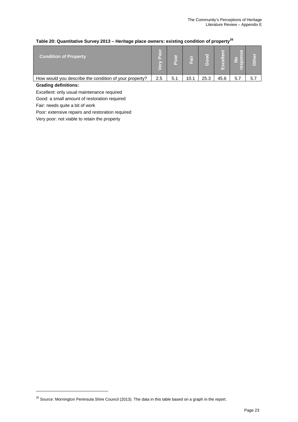#### <span id="page-24-0"></span>**Table 20: Quantitative Survey 2013 – Heritage place owners: existing condition of property[26](#page-24-1)**

| <b>Condition of Property</b>                           | ਰਿ<br>o<br>n.<br>$\sum_{i=1}^{n}$ | n.  | Fair | $\mathbf G$ | œ<br>$rac{1}{\sqrt{2}}$<br>Œ<br>ıч | d)<br>Ū<br>$\bullet$<br>ľ o`<br>l (o)<br>ဖြ | Ò   |
|--------------------------------------------------------|-----------------------------------|-----|------|-------------|------------------------------------|---------------------------------------------|-----|
| How would you describe the condition of your property? | 2.5                               | 5.1 | 10.1 | 25.3        | 45.6                               | 5.7                                         | 5.7 |
|                                                        |                                   |     |      |             |                                    |                                             |     |

#### **Grading definitions:**

 $\overline{a}$ 

Excellent: only usual maintenance required

Good: a small amount of restoration required

Fair: needs quite a bit of work

Poor: extensive repairs and restoration required

Very poor: not viable to retain the property

<span id="page-24-1"></span> $26$  Source: Mornington Peninsula Shire Council (2013). The data in this table based on a graph in the report.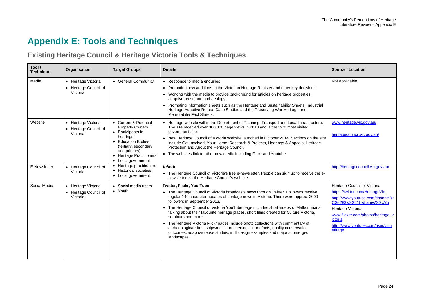# **Appendix E: Tools and Techniques**

### **Existing Heritage Council & Heritage Victoria Tools & Techniques**

<span id="page-25-1"></span><span id="page-25-0"></span>

| Tool /<br><b>Technique</b> | Organisation                                             | <b>Target Groups</b>                                                                                                                                                                             | <b>Details</b>                                                                                                                                                                                                                                                                                                                                                                                                                                                                                                                                                                                                                                                                                                                      | <b>Source / Location</b>                                                                                                                                                                                                                           |
|----------------------------|----------------------------------------------------------|--------------------------------------------------------------------------------------------------------------------------------------------------------------------------------------------------|-------------------------------------------------------------------------------------------------------------------------------------------------------------------------------------------------------------------------------------------------------------------------------------------------------------------------------------------------------------------------------------------------------------------------------------------------------------------------------------------------------------------------------------------------------------------------------------------------------------------------------------------------------------------------------------------------------------------------------------|----------------------------------------------------------------------------------------------------------------------------------------------------------------------------------------------------------------------------------------------------|
| Media                      | • Heritage Victoria<br>• Heritage Council of<br>Victoria | • General Community                                                                                                                                                                              | • Response to media enquiries.<br>• Promoting new additions to the Victorian Heritage Register and other key decisions.<br>• Working with the media to provide background for articles on heritage properties,<br>adaptive reuse and archaeology.<br>• Promoting information sheets such as the Heritage and Sustainability Sheets, Industrial<br>Heritage Adaptive Re-use Case Studies and the Preserving War Heritage and<br>Memorabilia Fact Sheets.                                                                                                                                                                                                                                                                             | Not applicable                                                                                                                                                                                                                                     |
| Website                    | • Heritage Victoria<br>• Heritage Council of<br>Victoria | • Current & Potential<br><b>Property Owners</b><br>• Participants in<br>hearings<br>• Education Bodies<br>(tertiary, secondary<br>and primary)<br>• Heritage Practitioners<br>• Local government | • Heritage website within the Department of Planning, Transport and Local Infrastructure.<br>The site received over 300,000 page views in 2013 and is the third most visited<br>government site.<br>• New Heritage Council of Victoria Website launched in October 2014. Sections on the site<br>include Get Involved, Your Home, Research & Projects, Hearings & Appeals, Heritage<br>Protection and About the Heritage Council.<br>• The websites link to other new media including Flickr and Youtube.                                                                                                                                                                                                                           | www.heritage.vic.gov.au/<br>heritagecouncil.vic.gov.au/                                                                                                                                                                                            |
| E-Newsletter               | • Heritage Council of<br>Victoria                        | • Heritage practitioners<br>• Historical societies<br>• Local government                                                                                                                         | <b>Inherit</b><br>• The Heritage Council of Victoria's free e-newsletter. People can sign up to receive the e-<br>newsletter via the Heritage Council's website.                                                                                                                                                                                                                                                                                                                                                                                                                                                                                                                                                                    | http://heritagecouncil.vic.gov.au/                                                                                                                                                                                                                 |
| Social Media               | • Heritage Victoria<br>• Heritage Council of<br>Victoria | • Social media users<br>• Youth                                                                                                                                                                  | <b>Twitter, Flickr, You Tube</b><br>• The Heritage Council of Victoria broadcasts news through Twitter. Followers receive<br>regular 140 character updates of heritage news in Victoria. There were approx. 2000<br>followers in September 2013.<br>• The Heritage Council of Victoria YouTube page includes short videos of Melbournians<br>talking about their favourite heritage places, short films created for Culture Victoria,<br>seminars and more.<br>• The Heritage Victoria Flickr pages include photo collections with commentary of<br>archaeological sites, shipwrecks, archaeological artefacts, quality conservation<br>outcomes, adaptive reuse studies, infill design examples and major submerged<br>landscapes. | Heritage Council of Victoria<br>https://twitter.com/HeritageVic<br>http://www.youtube.com/channel/U<br>CGz283w2GL1hwLamWS0rxYg<br>Heritage Victoria<br>www.flicker.com/photos/heritage_v<br>ictoria<br>http://www.voutube.com/user/vich<br>eritage |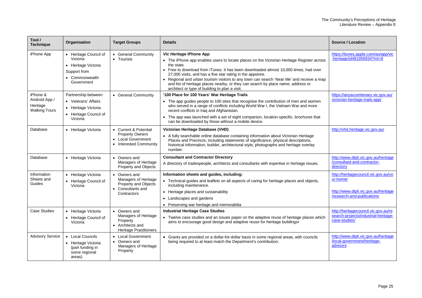| Tool /<br><b>Technique</b>                                    | Organisation                                                                                             | <b>Target Groups</b>                                                                                    | <b>Details</b>                                                                                                                                                                                                                                                                                                                                                                                                                                                                                                             | Source / Location                                                                                                      |
|---------------------------------------------------------------|----------------------------------------------------------------------------------------------------------|---------------------------------------------------------------------------------------------------------|----------------------------------------------------------------------------------------------------------------------------------------------------------------------------------------------------------------------------------------------------------------------------------------------------------------------------------------------------------------------------------------------------------------------------------------------------------------------------------------------------------------------------|------------------------------------------------------------------------------------------------------------------------|
| iPhone App                                                    | • Heritage Council of<br>Victoria<br>• Heritage Victoria<br>Support from<br>• Commonwealth<br>Government | • General Community<br>• Tourists                                                                       | Vic Heritage iPhone App<br>• The iPhone app enables users to locate places on the Victorian Heritage Register across<br>the state.<br>• Free to download from iTunes. It has been downloaded almost 10,000 times, had over<br>27,000 visits, and has a five star rating in the appstore.<br>• Regional and urban tourism visitors to any town can search 'Near Me' and receive a map<br>and list of heritage places nearby, or they can search by place name, address or<br>architect or type of building to plan a visit. | https://itunes.apple.com/au/app/vic<br>-heritage/id481956934?mt=8                                                      |
| iPhone &<br>Android App /<br>Heritage<br><b>Walking Tours</b> | Partnership between<br>• Veterans' Affairs<br>• Heritage Victoria<br>• Heritage Council of<br>Victoria   | • General Community                                                                                     | '100 Place for 100 Years' War Heritage Trails<br>• The app guides people to 100 sites that recognise the contribution of men and women<br>who served in a range of conflicts including World War I, the Vietnam War and more<br>recent conflicts in Iraq and Afghanistan.<br>The app was launched with a set of eight companion, location-specific, brochures that<br>can be downloaded by those without a mobile device.                                                                                                  | https://anzaccentenary.vic.gov.au/<br>victorian-heritage-trails-app/                                                   |
| Database                                                      | • Heritage Victoria                                                                                      | • Current & Potential<br><b>Property Owners</b><br>• Local Government<br>• Interested Community         | Victorian Heritage Database (VHD)<br>• A fully searchable online database containing information about Victorian Heritage<br>Places and Precincts, including statements of significance, physical descriptions,<br>historical information, builder, architectural style, photographs and heritage overlay<br>number.                                                                                                                                                                                                       | http://vhd.heritage.vic.gov.au/                                                                                        |
| Database                                                      | • Heritage Victoria                                                                                      | • Owners and<br>Managers of Heritage<br>Property and Objects                                            | <b>Consultant and Contractor Directory</b><br>A directory of tradespeople, architects and consultants with expertise in heritage issues.                                                                                                                                                                                                                                                                                                                                                                                   | http://www.dtpli.vic.gov.au/heritage<br>/consultant-and-contractor-<br>directory                                       |
| Information<br>Sheets and<br>Guides                           | • Heritage Victoria<br>• Heritage Council of<br>Victoria                                                 | • Owners and<br>Managers of Heritage<br><b>Property and Objects</b><br>• Consultants and<br>Contractors | Information sheets and guides, including:<br>• Technical guides and leaflets on all aspects of caring for heritage places and objects,<br>including maintenance.<br>• Heritage places and sustainability<br>• Landscapes and gardens<br>• Preserving war heritage and memorabilia                                                                                                                                                                                                                                          | http://heritagecouncil.vic.gov.au/yo<br>ur-home/<br>http://www.dtpli.vic.gov.au/heritage<br>/research-and-publications |
| <b>Case Studies</b>                                           | • Heritage Victoria<br>• Heritage Council of<br>Victoria                                                 | • Owners and<br>Managers of Heritage<br>Property<br>• Architects and<br><b>Heritage Practitioners</b>   | <b>Industrial Heritage Case Studies</b><br>• Twelve case studies and an issues paper on the adaptive reuse of heritage places which<br>aims to encourage good design and adaptive reuse for heritage buildings.                                                                                                                                                                                                                                                                                                            | http://heritagecouncil.vic.gov.au/re<br>search-projects/industrial-heritage-<br>case-studies/                          |
| <b>Advisory Service</b>                                       | • Local Councils<br>• Heritage Victoria<br>(part funding in<br>some regional<br>areas)                   | • Local Government<br>• Owners and<br>Managers of Heritage<br>Property                                  | • Grants are provided on a dollar-for-dollar basis in some regional areas, with councils<br>being required to at least match the Department's contribution.                                                                                                                                                                                                                                                                                                                                                                | http://www.dtpli.vic.gov.au/heritage<br>/local-government/heritage-<br>advisors                                        |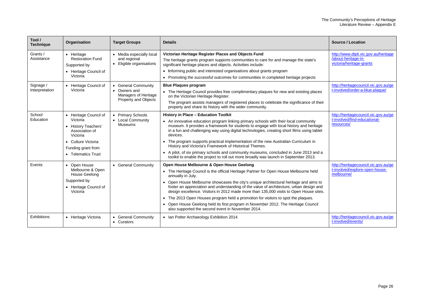| Tool /<br><b>Technique</b>  | Organisation                                                                                                                                             | <b>Target Groups</b>                                                                       | <b>Details</b>                                                                                                                                                                                                                                                                                                                                                                                                                                                                                                                                                                                                                                                            | <b>Source / Location</b>                                                                |
|-----------------------------|----------------------------------------------------------------------------------------------------------------------------------------------------------|--------------------------------------------------------------------------------------------|---------------------------------------------------------------------------------------------------------------------------------------------------------------------------------------------------------------------------------------------------------------------------------------------------------------------------------------------------------------------------------------------------------------------------------------------------------------------------------------------------------------------------------------------------------------------------------------------------------------------------------------------------------------------------|-----------------------------------------------------------------------------------------|
| Grants /<br>Assistance      | • Heritage<br><b>Restoration Fund</b><br>Supported by<br>• Heritage Council of<br>Victoria                                                               | • Media especially local<br>and regional<br>• Eligible organisations                       | Victorian Heritage Register Places and Objects Fund<br>The heritage grants program supports communities to care for and manage the state's<br>significant heritage places and objects. Activities include:<br>• Informing public and interested organisations about grants program<br>• Promoting the successful outcomes for communities in completed heritage projects                                                                                                                                                                                                                                                                                                  | http://www.dtpli.vic.gov.au/heritage<br>/about-heritage-in-<br>victoria/heritage-grants |
| Signage /<br>Interpretation | • Heritage Council of<br>Victoria                                                                                                                        | • General Community<br>• Owners and<br>Managers of Heritage<br><b>Property and Objects</b> | <b>Blue Plaques program</b><br>• The Heritage Council provides free complimentary plaques for new and existing places<br>on the Victorian Heritage Register.<br>The program assists managers of registered places to celebrate the significance of their<br>property and share its history with the wider community.                                                                                                                                                                                                                                                                                                                                                      | http://heritagecouncil.vic.gov.au/ge<br>t-involved/order-a-blue-plaque/                 |
| School<br>Education         | • Heritage Council of<br>Victoria<br>• History Teachers'<br>Association of<br>Victoria<br>• Culture Victoria<br>Funding grant from<br>• Telematics Trust | • Primary Schools<br>• Local Community<br><b>Museums</b>                                   | <b>History in Place - Education Toolkit</b><br>• An innovative education program linking primary schools with their local community<br>museum. It provides a framework for students to engage with local history and heritage<br>in a fun and challenging way using digital technologies, creating short films using tablet<br>devices.<br>• The program supports practical implementation of the new Australian Curriculum in<br>History and Victoria's Framework of Historical Themes.<br>• A pilot, of six primary schools and community museums, concluded in June 2013 and a<br>toolkit to enable the project to roll out more broadly was launch in September 2013. | http://heritagecouncil.vic.gov.au/ge<br>t-involved/find-educational-<br>resources/      |
| Events                      | • Open House<br>Melbourne & Open<br><b>House Geelong</b><br>Supported by<br>• Heritage Council of<br>Victoria                                            | • General Community                                                                        | Open House Melbourne & Open House Geelong<br>• The Heritage Council is the official Heritage Partner for Open House Melbourne held<br>annually in July.<br>• Open House Melbourne showcases the city's unique architectural heritage and aims to<br>foster an appreciation and understanding of the value of architecture, urban design and<br>design excellence. Visitors in 2012 made more than 135,000 visits to Open House sites.<br>• The 2013 Open Houses program held a promotion for visitors to spot the plagues.<br>• Open House Geelong held its first program in November 2012. The Heritage Council<br>also supported the second event in November 2014.     | http://heritagecouncil.vic.gov.au/ge<br>t-involved/explore-open-house-<br>melbourne/    |
| Exhibitions                 | • Heritage Victoria                                                                                                                                      | • General Community<br>• Curators                                                          | • Ian Potter Archaeology Exhibition 2014                                                                                                                                                                                                                                                                                                                                                                                                                                                                                                                                                                                                                                  | http://heritagecouncil.vic.gov.au/ge<br>t-involved/events/                              |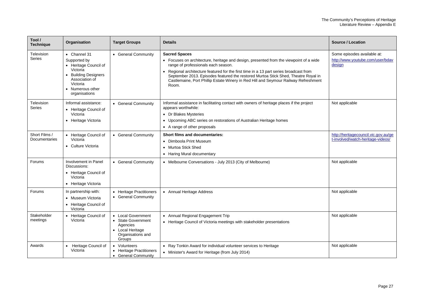| Tool /<br><b>Technique</b>     | Organisation                                                                                                                                                      | <b>Target Groups</b>                                                                                    | <b>Details</b>                                                                                                                                                                                                                                                                                                                                                                                                                      | <b>Source / Location</b>                                                  |
|--------------------------------|-------------------------------------------------------------------------------------------------------------------------------------------------------------------|---------------------------------------------------------------------------------------------------------|-------------------------------------------------------------------------------------------------------------------------------------------------------------------------------------------------------------------------------------------------------------------------------------------------------------------------------------------------------------------------------------------------------------------------------------|---------------------------------------------------------------------------|
| Television<br><b>Series</b>    | • Channel 31<br>Supported by<br>• Heritage Council of<br>Victoria<br><b>Building Designers</b><br>Association of<br>Victoria<br>• Numerous other<br>organisations | • General Community                                                                                     | <b>Sacred Spaces</b><br>• Focuses on architecture, heritage and design, presented from the viewpoint of a wide<br>range of professionals each season.<br>Regional architecture featured for the first time in a 13 part series broadcast from<br>September 2013. Episodes featured the restored Murtoa Stick Shed, Theatre Royal in<br>Castlemaine, Port Phillip Estate Winery in Red Hill and Seymour Railway Refreshment<br>Room. | Some episodes available at:<br>http://www.youtube.com/user/bdav<br>design |
| Television<br><b>Series</b>    | Informal assistance:<br>• Heritage Council of<br>Victoria<br>• Heritage Victoria                                                                                  | • General Community                                                                                     | Informal assistance in facilitating contact with owners of heritage places if the project<br>appears worthwhile:<br>• Dr Blakes Mysteries<br>• Upcoming ABC series on restorations of Australian Heritage homes<br>• A range of other proposals                                                                                                                                                                                     | Not applicable                                                            |
| Short Films /<br>Documentaries | • Heritage Council of<br>Victoria<br>• Culture Victoria                                                                                                           | • General Community                                                                                     | <b>Short films and documentaries:</b><br>• Dimboola Print Museum<br>• Murtoa Stick Shed<br>• Haring Mural documentary                                                                                                                                                                                                                                                                                                               | http://heritagecouncil.vic.gov.au/ge<br>t-involved/watch-heritage-videos/ |
| Forums                         | Involvement in Panel<br>Discussions:<br>• Heritage Council of<br>Victoria<br>• Heritage Victoria                                                                  | • General Community                                                                                     | • Melbourne Conversations - July 2013 (City of Melbourne)                                                                                                                                                                                                                                                                                                                                                                           | Not applicable                                                            |
| Forums                         | In partnership with:<br>• Museum Victoria<br>• Heritage Council of<br>Victoria                                                                                    | • Heritage Practitioners<br>• General Community                                                         | • Annual Heritage Address                                                                                                                                                                                                                                                                                                                                                                                                           | Not applicable                                                            |
| Stakeholder<br>meetings        | • Heritage Council of<br>Victoria                                                                                                                                 | • Local Government<br>• State Government<br>Agencies<br>• Local Heritage<br>Organisations and<br>Groups | • Annual Regional Engagement Trip<br>• Heritage Council of Victoria meetings with stakeholder presentations                                                                                                                                                                                                                                                                                                                         | Not applicable                                                            |
| Awards                         | Heritage Council of<br>$\bullet$<br>Victoria                                                                                                                      | • Volunteers<br>• Heritage Practitioners<br>• General Community                                         | • Ray Tonkin Award for individual volunteer services to Heritage<br>• Minister's Award for Heritage (from July 2014)                                                                                                                                                                                                                                                                                                                | Not applicable                                                            |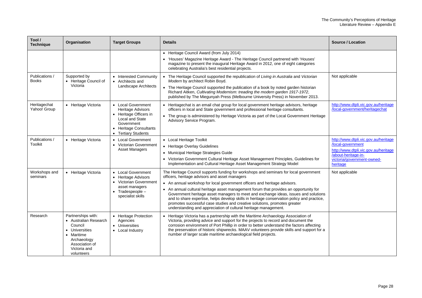| Tool /<br><b>Technique</b>     | Organisation                                                                                                                                          | <b>Target Groups</b>                                                                                                                                                  | <b>Details</b>                                                                                                                                                                                                                                                                                                                                                                                                                                                                                                                                                                                                                                     | <b>Source / Location</b>                                                                                                                                           |
|--------------------------------|-------------------------------------------------------------------------------------------------------------------------------------------------------|-----------------------------------------------------------------------------------------------------------------------------------------------------------------------|----------------------------------------------------------------------------------------------------------------------------------------------------------------------------------------------------------------------------------------------------------------------------------------------------------------------------------------------------------------------------------------------------------------------------------------------------------------------------------------------------------------------------------------------------------------------------------------------------------------------------------------------------|--------------------------------------------------------------------------------------------------------------------------------------------------------------------|
|                                |                                                                                                                                                       |                                                                                                                                                                       | • Heritage Council Award (from July 2014)<br>• 'Houses' Magazine Heritage Award - The Heritage Council partnered with 'Houses'<br>magazine to present the inaugural Heritage Award in 2012, one of eight categories<br>celebrating Australia's best residential projects.                                                                                                                                                                                                                                                                                                                                                                          |                                                                                                                                                                    |
| Publications /<br><b>Books</b> | Supported by<br>• Heritage Council of<br>Victoria                                                                                                     | • Interested Community<br>• Architects and<br><b>Landscape Architects</b>                                                                                             | • The Heritage Council supported the republication of Living in Australia and Victorian<br>Modern by architect Robin Boyd.<br>• The Heritage Council supported the publication of a book by noted garden historian<br>Richard Aitken, Cultivating Modernism: treading the modern garden 1917-1972,<br>published by The Miegunyah Press (Melbourne University Press) in November 2013.                                                                                                                                                                                                                                                              | Not applicable                                                                                                                                                     |
| Heritagechat<br>Yahoo! Group   | • Heritage Victoria                                                                                                                                   | • Local Government<br>Heritage Advisors<br>• Heritage Officers in<br>Local and State<br>Government<br>• Heritage Consultants<br><b>Tertiary Students</b><br>$\bullet$ | • Heritagechat is an email chat group for local government heritage advisors, heritage<br>officers in local and State government and professional heritage consultants.<br>• The group is administered by Heritage Victoria as part of the Local Government Heritage<br>Advisory Service Program.                                                                                                                                                                                                                                                                                                                                                  | http://www.dtpli.vic.gov.au/heritage<br>/local-government/heritagechat                                                                                             |
| Publications /<br>Toolkit      | • Heritage Victoria                                                                                                                                   | • Local Government<br>• Victorian Government<br><b>Asset Managers</b>                                                                                                 | • Local Heritage Toolkit<br>• Heritage Overlay Guidelines<br>• Municipal Heritage Strategies Guide<br>• Victorian Government Cultural Heritage Asset Management Principles, Guidelines for<br>Implementation and Cultural Heritage Asset Management Strategy Model                                                                                                                                                                                                                                                                                                                                                                                 | http://www.dtpli.vic.gov.au/heritage<br>/local-government<br>http://www.dtpli.vic.gov.au/heritage<br>/about-heritage-in-<br>victoria/government-owned-<br>heritage |
| Workshops and<br>seminars      | • Heritage Victoria                                                                                                                                   | • Local Government<br>• Heritage Advisors<br>• Victorian Government<br>asset managers<br>$\bullet$ Tradespeople $-$<br>specialist skills                              | The Heritage Council supports funding for workshops and seminars for local government<br>officers, heritage advisors and asset managers<br>• An annual workshop for local government officers and heritage advisors.<br>• An annual cultural heritage asset management forum that provides an opportunity for<br>Government heritage asset managers to meet and exchange ideas, issues and solutions<br>and to share expertise, helps develop skills in heritage conservation policy and practice,<br>promotes successful case studies and creative solutions, promotes greater<br>understanding and appreciation of cultural heritage management. | Not applicable                                                                                                                                                     |
| Research                       | Partnerships with:<br>• Australian Research<br>Council<br>• Universities<br>• Maritime<br>Archaeology<br>Association of<br>Victoria and<br>volunteers | • Heritage Protection<br>Agencies<br>• Universities<br>• Local Industry                                                                                               | Heritage Victoria has a partnership with the Maritime Archaeology Association of<br>Victoria, providing advice and support for the projects to record and document the<br>corrosion environment of Port Phillip in order to better understand the factors affecting<br>the preservation of historic shipwrecks. MAAV volunteers provide skills and support for a<br>number of larger scale maritime archaeological field projects.                                                                                                                                                                                                                 |                                                                                                                                                                    |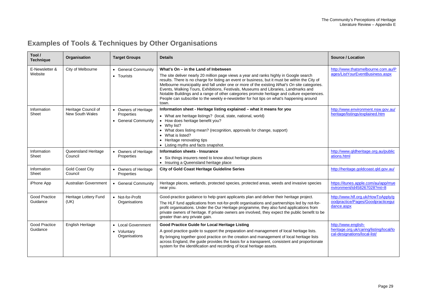## **Examples of Tools & Techniques by Other Organisations**

<span id="page-30-0"></span>

| Tool /<br><b>Technique</b>       | Organisation                           | <b>Target Groups</b>                                      | <b>Details</b>                                                                                                                                                                                                                                                                                                                                                                                                                                                                                                                                                                                                              | <b>Source / Location</b>                                                                       |
|----------------------------------|----------------------------------------|-----------------------------------------------------------|-----------------------------------------------------------------------------------------------------------------------------------------------------------------------------------------------------------------------------------------------------------------------------------------------------------------------------------------------------------------------------------------------------------------------------------------------------------------------------------------------------------------------------------------------------------------------------------------------------------------------------|------------------------------------------------------------------------------------------------|
| E-Newsletter &<br>Website        | City of Melbourne                      | • General Community<br>• Tourists                         | What's On - in the Land of Inbetween<br>The site deliver nearly 20 million page views a year and ranks highly in Google search<br>results. There is no charge for listing an event or business, but it must be within the City of<br>Melbourne municipality and fall under one or more of the existing What's On site categories.<br>Events, Walking Tours, Exhibitions, Festivals, Museums and Libraries, Landmarks and<br>Notable Buildings and a range of other categories promote heritage and culture experiences.<br>People can subscribe to the weekly e-newsletter for hot tips on what's happening around<br>town. | http://www.thatsmelbourne.com.au/P<br>ages/ListYourEventBusiness.aspx                          |
| Information<br>Sheet             | Heritage Council of<br>New South Wales | • Owners of Heritage<br>Properties<br>• General Community | Information sheet - Heritage listing explained - what it means for you<br>• What are heritage listings? (local, state, national, world)<br>• How does heritage benefit you?<br>• Why list?<br>• What does listing mean? (recognition, approvals for change, support)<br>• What is listed?<br>• Heritage renovating tips<br>• Listing myths and facts snapshot.                                                                                                                                                                                                                                                              | http://www.environment.nsw.gov.au/<br>heritage/listings/explained.htm                          |
| Information<br>Sheet             | Queensland Heritage<br>Council         | • Owners of Heritage<br>Properties                        | Information sheets - Insurance<br>• Six things insurers need to know about heritage places<br>• Insuring a Queensland heritage place                                                                                                                                                                                                                                                                                                                                                                                                                                                                                        | http://www.gldheritage.org.au/public<br>ations.html                                            |
| Information<br>Sheet             | <b>Gold Coast City</b><br>Council      | • Owners of Heritage<br>Properties                        | <b>City of Gold Coast Heritage Guideline Series</b>                                                                                                                                                                                                                                                                                                                                                                                                                                                                                                                                                                         | http://heritage.goldcoast.gld.gov.au/                                                          |
| iPhone App                       | <b>Australian Government</b>           | • General Community                                       | Heritage places, wetlands, protected species, protected areas, weeds and invasive species<br>near you.                                                                                                                                                                                                                                                                                                                                                                                                                                                                                                                      | https://itunes.apple.com/au/app/mye<br>nvironment/id458267028?mt=8                             |
| <b>Good Practice</b><br>Guidance | Heritage Lottery Fund<br>(UK)          | • Not-for-Profit<br>Organisations                         | Good-practice guidance to help grant applicants plan and deliver their heritage project.<br>The HLF fund applications from not-for-profit organisations and partnerships led by not-for-<br>profit organisations. Under the Our Heritage programme, they also fund applications from<br>private owners of heritage. If private owners are involved, they expect the public benefit to be<br>greater than any private gain.                                                                                                                                                                                                  | http://www.hlf.org.uk/HowToApply/g<br>oodpractice/Pages/Goodpracticegui<br>dance.aspx          |
| <b>Good Practice</b><br>Guidance | English Heritage                       | • Local Government<br>• Voluntary<br>Organisations        | Good Practice Guide for Local Heritage Listing<br>A good practice guide to support the preparation and management of local heritage lists.<br>By bringing together good practice on the creation and management of local heritage lists<br>across England, the guide provides the basis for a transparent, consistent and proportionate<br>system for the identification and recording of local heritage assets.                                                                                                                                                                                                            | http://www.english-<br>heritage.org.uk/caring/listing/local/lo<br>cal-designations/local-list/ |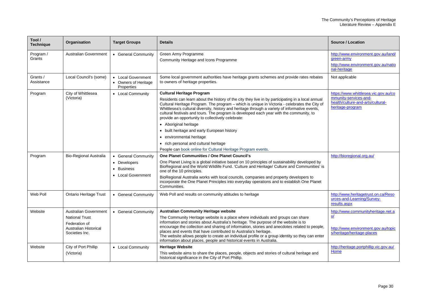| Tool /<br><b>Technique</b> | Organisation                                                                                                             | <b>Target Groups</b>                                                    | <b>Details</b>                                                                                                                                                                                                                                                                                                                                                                                                                                                                                                                                                                                                                                                                                        | Source / Location                                                                                                      |
|----------------------------|--------------------------------------------------------------------------------------------------------------------------|-------------------------------------------------------------------------|-------------------------------------------------------------------------------------------------------------------------------------------------------------------------------------------------------------------------------------------------------------------------------------------------------------------------------------------------------------------------------------------------------------------------------------------------------------------------------------------------------------------------------------------------------------------------------------------------------------------------------------------------------------------------------------------------------|------------------------------------------------------------------------------------------------------------------------|
| Program /<br>Grants        | <b>Australian Government</b>                                                                                             | • General Community                                                     | Green Army Programme<br>Community Heritage and Icons Programme                                                                                                                                                                                                                                                                                                                                                                                                                                                                                                                                                                                                                                        | http://www.environment.gov.au/land/<br>green-army<br>http://www.environment.gov.au/natio<br>nal-heritage               |
| Grants /<br>Assistance     | Local Council's (some)                                                                                                   | • Local Government<br>• Owners of Heritage<br>Properties                | Some local government authorities have heritage grants schemes and provide rates rebates<br>to owners of heritage properties.                                                                                                                                                                                                                                                                                                                                                                                                                                                                                                                                                                         | Not applicable                                                                                                         |
| Program                    | City of Whittlesea<br>(Victoria)                                                                                         | • Local Community                                                       | <b>Cultural Heritage Program</b><br>Residents can learn about the history of the city they live in by participating in a local annual<br>Cultural Heritage Program. The program - which is unique in Victoria - celebrates the City of<br>Whittlesea's cultural diversity, history and heritage through a variety of informative events,<br>cultural festivals and tours. The program is developed each year with the community, to<br>provide an opportunity to collectively celebrate:<br>• Aboriginal heritage<br>• built heritage and early European history<br>• environmental heritage<br>• rich personal and cultural heritage<br>People can book online for Cultural Heritage Program events. | https://www.whittlesea.vic.gov.au/co<br>mmunity-services-and-<br>health/culture-and-arts/cultural-<br>heritage-program |
| Program                    | <b>Bio-Regional Australia</b>                                                                                            | • General Community<br>• Developers<br>• Business<br>• Local Government | One Planet Communities / One Planet Council's<br>One Planet Living is a global initiative based on 10 principles of sustainability developed by<br>BioRegional and the World Wildlife Fund. 'Culture and Heritage/ Culture and Communities' is<br>one of the 10 principles.<br>BioRegional Australia works with local councils, companies and property developers to<br>incorporate the One Planet Principles into everyday operations and to establish One Planet<br>Communities.                                                                                                                                                                                                                    | http://bioregional.org.au/                                                                                             |
| Web Poll                   | <b>Ontario Heritage Trust</b>                                                                                            | • General Community                                                     | Web Poll and results on community attitudes to heritage                                                                                                                                                                                                                                                                                                                                                                                                                                                                                                                                                                                                                                               | http://www.heritagetrust.on.ca/Reso<br>urces-and-Learning/Survey-<br>results.aspx                                      |
| Website                    | <b>Australian Government</b><br><b>National Trust</b><br>Federation of<br><b>Australian Historical</b><br>Societies Inc. | • General Community                                                     | <b>Australian Community Heritage website</b><br>The Community Heritage website is a place where individuals and groups can share<br>information and stories about Australia's heritage. The purpose of the website is to<br>encourage the collection and sharing of information, stories and anecdotes related to people,<br>places and events that have contributed to Australia's heritage.<br>The website allows people to create an individual profile or a group identity so they can enter<br>information about places, people and historical events in Australia.                                                                                                                              | http://www.communityheritage.net.a<br>$u$<br>http://www.environment.gov.au/topic<br>s/heritage/heritage-places         |
| Website                    | City of Port Phillip<br>(Victoria)                                                                                       | • Local Community                                                       | <b>Heritage Website</b><br>This website aims to share the places, people, objects and stories of cultural heritage and<br>historical significance in the City of Port Phillip.                                                                                                                                                                                                                                                                                                                                                                                                                                                                                                                        | http://heritage.portphillip.vic.gov.au/<br>Home                                                                        |